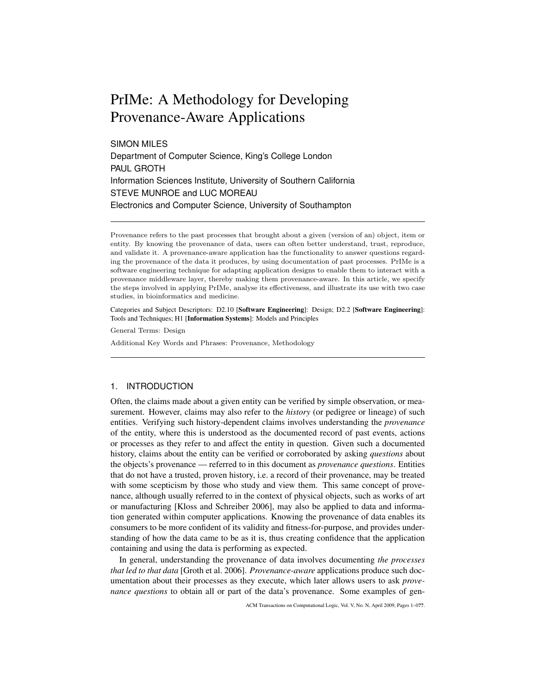# PrIMe: A Methodology for Developing Provenance-Aware Applications

SIMON MILES Department of Computer Science, King's College London PAUL GROTH Information Sciences Institute, University of Southern California STEVE MUNROE and LUC MOREAU Electronics and Computer Science, University of Southampton

Provenance refers to the past processes that brought about a given (version of an) object, item or entity. By knowing the provenance of data, users can often better understand, trust, reproduce, and validate it. A provenance-aware application has the functionality to answer questions regarding the provenance of the data it produces, by using documentation of past processes. PrIMe is a software engineering technique for adapting application designs to enable them to interact with a provenance middleware layer, thereby making them provenance-aware. In this article, we specify the steps involved in applying PrIMe, analyse its effectiveness, and illustrate its use with two case studies, in bioinformatics and medicine.

Categories and Subject Descriptors: D2.10 [Software Engineering]: Design; D2.2 [Software Engineering]: Tools and Techniques; H1 [Information Systems]: Models and Principles

General Terms: Design

Additional Key Words and Phrases: Provenance, Methodology

# 1. INTRODUCTION

Often, the claims made about a given entity can be verified by simple observation, or measurement. However, claims may also refer to the *history* (or pedigree or lineage) of such entities. Verifying such history-dependent claims involves understanding the *provenance* of the entity, where this is understood as the documented record of past events, actions or processes as they refer to and affect the entity in question. Given such a documented history, claims about the entity can be verified or corroborated by asking *questions* about the objects's provenance — referred to in this document as *provenance questions*. Entities that do not have a trusted, proven history, i.e. a record of their provenance, may be treated with some scepticism by those who study and view them. This same concept of provenance, although usually referred to in the context of physical objects, such as works of art or manufacturing [Kloss and Schreiber 2006], may also be applied to data and information generated within computer applications. Knowing the provenance of data enables its consumers to be more confident of its validity and fitness-for-purpose, and provides understanding of how the data came to be as it is, thus creating confidence that the application containing and using the data is performing as expected.

In general, understanding the provenance of data involves documenting *the processes that led to that data* [Groth et al. 2006]. *Provenance-aware* applications produce such documentation about their processes as they execute, which later allows users to ask *provenance questions* to obtain all or part of the data's provenance. Some examples of gen-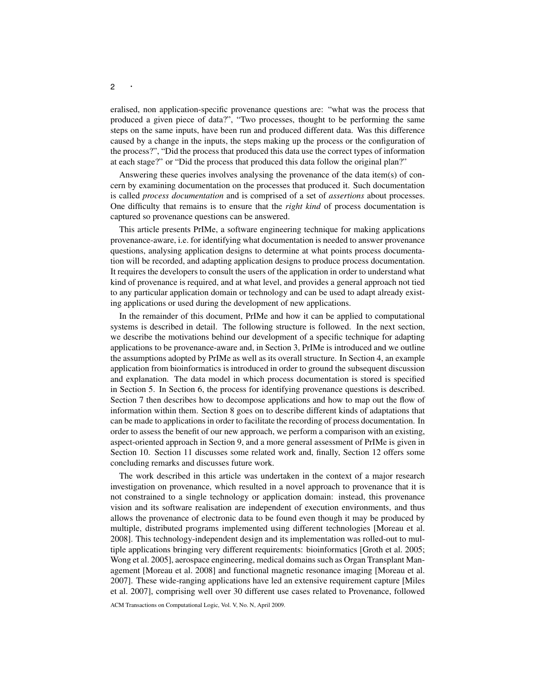eralised, non application-specific provenance questions are: "what was the process that produced a given piece of data?", "Two processes, thought to be performing the same steps on the same inputs, have been run and produced different data. Was this difference caused by a change in the inputs, the steps making up the process or the configuration of the process?", "Did the process that produced this data use the correct types of information at each stage?" or "Did the process that produced this data follow the original plan?"

Answering these queries involves analysing the provenance of the data item(s) of concern by examining documentation on the processes that produced it. Such documentation is called *process documentation* and is comprised of a set of *assertions* about processes. One difficulty that remains is to ensure that the *right kind* of process documentation is captured so provenance questions can be answered.

This article presents PrIMe, a software engineering technique for making applications provenance-aware, i.e. for identifying what documentation is needed to answer provenance questions, analysing application designs to determine at what points process documentation will be recorded, and adapting application designs to produce process documentation. It requires the developers to consult the users of the application in order to understand what kind of provenance is required, and at what level, and provides a general approach not tied to any particular application domain or technology and can be used to adapt already existing applications or used during the development of new applications.

In the remainder of this document, PrIMe and how it can be applied to computational systems is described in detail. The following structure is followed. In the next section, we describe the motivations behind our development of a specific technique for adapting applications to be provenance-aware and, in Section 3, PrIMe is introduced and we outline the assumptions adopted by PrIMe as well as its overall structure. In Section 4, an example application from bioinformatics is introduced in order to ground the subsequent discussion and explanation. The data model in which process documentation is stored is specified in Section 5. In Section 6, the process for identifying provenance questions is described. Section 7 then describes how to decompose applications and how to map out the flow of information within them. Section 8 goes on to describe different kinds of adaptations that can be made to applications in order to facilitate the recording of process documentation. In order to assess the benefit of our new approach, we perform a comparison with an existing, aspect-oriented approach in Section 9, and a more general assessment of PrIMe is given in Section 10. Section 11 discusses some related work and, finally, Section 12 offers some concluding remarks and discusses future work.

The work described in this article was undertaken in the context of a major research investigation on provenance, which resulted in a novel approach to provenance that it is not constrained to a single technology or application domain: instead, this provenance vision and its software realisation are independent of execution environments, and thus allows the provenance of electronic data to be found even though it may be produced by multiple, distributed programs implemented using different technologies [Moreau et al. 2008]. This technology-independent design and its implementation was rolled-out to multiple applications bringing very different requirements: bioinformatics [Groth et al. 2005; Wong et al. 2005], aerospace engineering, medical domains such as Organ Transplant Management [Moreau et al. 2008] and functional magnetic resonance imaging [Moreau et al. 2007]. These wide-ranging applications have led an extensive requirement capture [Miles et al. 2007], comprising well over 30 different use cases related to Provenance, followed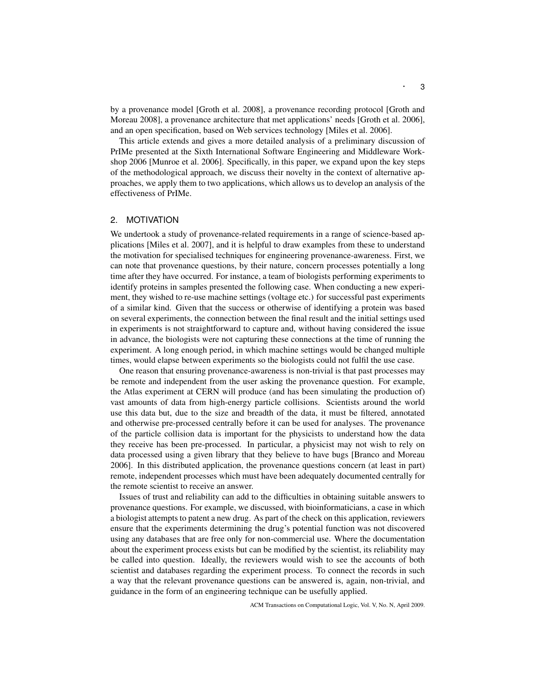by a provenance model [Groth et al. 2008], a provenance recording protocol [Groth and Moreau 2008], a provenance architecture that met applications' needs [Groth et al. 2006], and an open specification, based on Web services technology [Miles et al. 2006].

This article extends and gives a more detailed analysis of a preliminary discussion of PrIMe presented at the Sixth International Software Engineering and Middleware Workshop 2006 [Munroe et al. 2006]. Specifically, in this paper, we expand upon the key steps of the methodological approach, we discuss their novelty in the context of alternative approaches, we apply them to two applications, which allows us to develop an analysis of the effectiveness of PrIMe.

## 2. MOTIVATION

We undertook a study of provenance-related requirements in a range of science-based applications [Miles et al. 2007], and it is helpful to draw examples from these to understand the motivation for specialised techniques for engineering provenance-awareness. First, we can note that provenance questions, by their nature, concern processes potentially a long time after they have occurred. For instance, a team of biologists performing experiments to identify proteins in samples presented the following case. When conducting a new experiment, they wished to re-use machine settings (voltage etc.) for successful past experiments of a similar kind. Given that the success or otherwise of identifying a protein was based on several experiments, the connection between the final result and the initial settings used in experiments is not straightforward to capture and, without having considered the issue in advance, the biologists were not capturing these connections at the time of running the experiment. A long enough period, in which machine settings would be changed multiple times, would elapse between experiments so the biologists could not fulfil the use case.

One reason that ensuring provenance-awareness is non-trivial is that past processes may be remote and independent from the user asking the provenance question. For example, the Atlas experiment at CERN will produce (and has been simulating the production of) vast amounts of data from high-energy particle collisions. Scientists around the world use this data but, due to the size and breadth of the data, it must be filtered, annotated and otherwise pre-processed centrally before it can be used for analyses. The provenance of the particle collision data is important for the physicists to understand how the data they receive has been pre-processed. In particular, a physicist may not wish to rely on data processed using a given library that they believe to have bugs [Branco and Moreau 2006]. In this distributed application, the provenance questions concern (at least in part) remote, independent processes which must have been adequately documented centrally for the remote scientist to receive an answer.

Issues of trust and reliability can add to the difficulties in obtaining suitable answers to provenance questions. For example, we discussed, with bioinformaticians, a case in which a biologist attempts to patent a new drug. As part of the check on this application, reviewers ensure that the experiments determining the drug's potential function was not discovered using any databases that are free only for non-commercial use. Where the documentation about the experiment process exists but can be modified by the scientist, its reliability may be called into question. Ideally, the reviewers would wish to see the accounts of both scientist and databases regarding the experiment process. To connect the records in such a way that the relevant provenance questions can be answered is, again, non-trivial, and guidance in the form of an engineering technique can be usefully applied.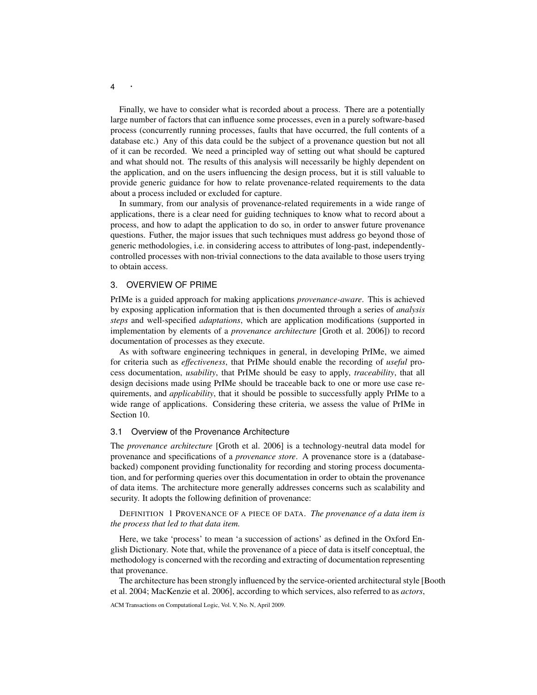Finally, we have to consider what is recorded about a process. There are a potentially large number of factors that can influence some processes, even in a purely software-based process (concurrently running processes, faults that have occurred, the full contents of a database etc.) Any of this data could be the subject of a provenance question but not all of it can be recorded. We need a principled way of setting out what should be captured and what should not. The results of this analysis will necessarily be highly dependent on the application, and on the users influencing the design process, but it is still valuable to provide generic guidance for how to relate provenance-related requirements to the data about a process included or excluded for capture.

In summary, from our analysis of provenance-related requirements in a wide range of applications, there is a clear need for guiding techniques to know what to record about a process, and how to adapt the application to do so, in order to answer future provenance questions. Futher, the major issues that such techniques must address go beyond those of generic methodologies, i.e. in considering access to attributes of long-past, independentlycontrolled processes with non-trivial connections to the data available to those users trying to obtain access.

# 3. OVERVIEW OF PRIME

PrIMe is a guided approach for making applications *provenance-aware*. This is achieved by exposing application information that is then documented through a series of *analysis steps* and well-specified *adaptations*, which are application modifications (supported in implementation by elements of a *provenance architecture* [Groth et al. 2006]) to record documentation of processes as they execute.

As with software engineering techniques in general, in developing PrIMe, we aimed for criteria such as *effectiveness*, that PrIMe should enable the recording of *useful* process documentation, *usability*, that PrIMe should be easy to apply, *traceability*, that all design decisions made using PrIMe should be traceable back to one or more use case requirements, and *applicability*, that it should be possible to successfully apply PrIMe to a wide range of applications. Considering these criteria, we assess the value of PrIMe in Section 10.

# 3.1 Overview of the Provenance Architecture

The *provenance architecture* [Groth et al. 2006] is a technology-neutral data model for provenance and specifications of a *provenance store*. A provenance store is a (databasebacked) component providing functionality for recording and storing process documentation, and for performing queries over this documentation in order to obtain the provenance of data items. The architecture more generally addresses concerns such as scalability and security. It adopts the following definition of provenance:

DEFINITION 1 PROVENANCE OF A PIECE OF DATA. *The provenance of a data item is the process that led to that data item.*

Here, we take 'process' to mean 'a succession of actions' as defined in the Oxford English Dictionary. Note that, while the provenance of a piece of data is itself conceptual, the methodology is concerned with the recording and extracting of documentation representing that provenance.

The architecture has been strongly influenced by the service-oriented architectural style [Booth et al. 2004; MacKenzie et al. 2006], according to which services, also referred to as *actors*,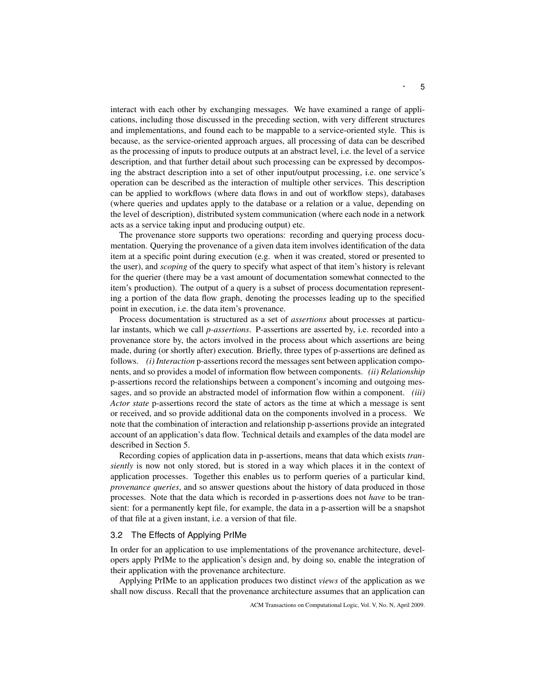interact with each other by exchanging messages. We have examined a range of applications, including those discussed in the preceding section, with very different structures and implementations, and found each to be mappable to a service-oriented style. This is because, as the service-oriented approach argues, all processing of data can be described as the processing of inputs to produce outputs at an abstract level, i.e. the level of a service description, and that further detail about such processing can be expressed by decomposing the abstract description into a set of other input/output processing, i.e. one service's operation can be described as the interaction of multiple other services. This description can be applied to workflows (where data flows in and out of workflow steps), databases (where queries and updates apply to the database or a relation or a value, depending on the level of description), distributed system communication (where each node in a network acts as a service taking input and producing output) etc.

The provenance store supports two operations: recording and querying process documentation. Querying the provenance of a given data item involves identification of the data item at a specific point during execution (e.g. when it was created, stored or presented to the user), and *scoping* of the query to specify what aspect of that item's history is relevant for the querier (there may be a vast amount of documentation somewhat connected to the item's production). The output of a query is a subset of process documentation representing a portion of the data flow graph, denoting the processes leading up to the specified point in execution, i.e. the data item's provenance.

Process documentation is structured as a set of *assertions* about processes at particular instants, which we call *p-assertions*. P-assertions are asserted by, i.e. recorded into a provenance store by, the actors involved in the process about which assertions are being made, during (or shortly after) execution. Briefly, three types of p-assertions are defined as follows. *(i) Interaction* p-assertions record the messages sent between application components, and so provides a model of information flow between components. *(ii) Relationship* p-assertions record the relationships between a component's incoming and outgoing messages, and so provide an abstracted model of information flow within a component. *(iii) Actor state* p-assertions record the state of actors as the time at which a message is sent or received, and so provide additional data on the components involved in a process. We note that the combination of interaction and relationship p-assertions provide an integrated account of an application's data flow. Technical details and examples of the data model are described in Section 5.

Recording copies of application data in p-assertions, means that data which exists *transiently* is now not only stored, but is stored in a way which places it in the context of application processes. Together this enables us to perform queries of a particular kind, *provenance queries*, and so answer questions about the history of data produced in those processes. Note that the data which is recorded in p-assertions does not *have* to be transient: for a permanently kept file, for example, the data in a p-assertion will be a snapshot of that file at a given instant, i.e. a version of that file.

# 3.2 The Effects of Applying PrIMe

In order for an application to use implementations of the provenance architecture, developers apply PrIMe to the application's design and, by doing so, enable the integration of their application with the provenance architecture.

Applying PrIMe to an application produces two distinct *views* of the application as we shall now discuss. Recall that the provenance architecture assumes that an application can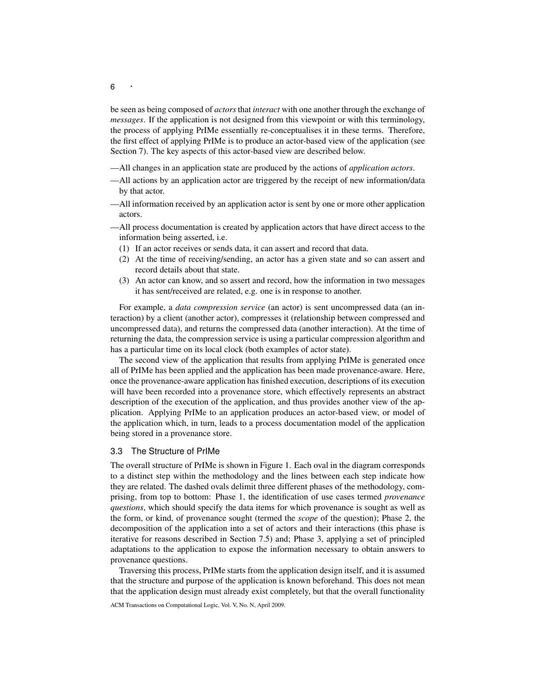be seen as being composed of *actors* that *interact* with one another through the exchange of *messages*. If the application is not designed from this viewpoint or with this terminology, the process of applying PrIMe essentially re-conceptualises it in these terms. Therefore, the first effect of applying PrIMe is to produce an actor-based view of the application (see Section 7). The key aspects of this actor-based view are described below.

—All changes in an application state are produced by the actions of *application actors*.

- —All actions by an application actor are triggered by the receipt of new information/data by that actor.
- —All information received by an application actor is sent by one or more other application actors.
- —All process documentation is created by application actors that have direct access to the information being asserted, i.e.
	- (1) If an actor receives or sends data, it can assert and record that data.
	- (2) At the time of receiving/sending, an actor has a given state and so can assert and record details about that state.
	- (3) An actor can know, and so assert and record, how the information in two messages it has sent/received are related, e.g. one is in response to another.

For example, a *data compression service* (an actor) is sent uncompressed data (an interaction) by a client (another actor), compresses it (relationship between compressed and uncompressed data), and returns the compressed data (another interaction). At the time of returning the data, the compression service is using a particular compression algorithm and has a particular time on its local clock (both examples of actor state).

The second view of the application that results from applying PrIMe is generated once all of PrIMe has been applied and the application has been made provenance-aware. Here, once the provenance-aware application has finished execution, descriptions of its execution will have been recorded into a provenance store, which effectively represents an abstract description of the execution of the application, and thus provides another view of the application. Applying PrIMe to an application produces an actor-based view, or model of the application which, in turn, leads to a process documentation model of the application being stored in a provenance store.

### 3.3 The Structure of PrIMe

The overall structure of PrIMe is shown in Figure 1. Each oval in the diagram corresponds to a distinct step within the methodology and the lines between each step indicate how they are related. The dashed ovals delimit three different phases of the methodology, comprising, from top to bottom: Phase 1, the identification of use cases termed *provenance questions*, which should specify the data items for which provenance is sought as well as the form, or kind, of provenance sought (termed the *scope* of the question); Phase 2, the decomposition of the application into a set of actors and their interactions (this phase is iterative for reasons described in Section 7.5) and; Phase 3, applying a set of principled adaptations to the application to expose the information necessary to obtain answers to provenance questions.

Traversing this process, PrIMe starts from the application design itself, and it is assumed that the structure and purpose of the application is known beforehand. This does not mean that the application design must already exist completely, but that the overall functionality

ACM Transactions on Computational Logic, Vol. V, No. N, April 2009.

<sup>6</sup> ·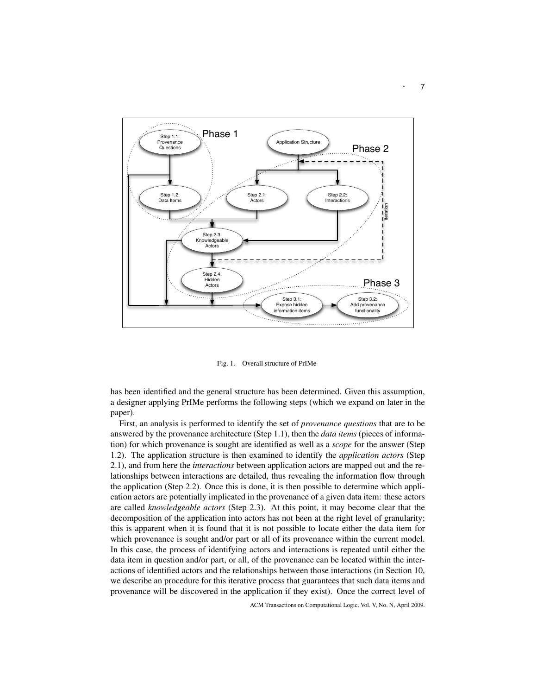

Fig. 1. Overall structure of PrIMe

has been identified and the general structure has been determined. Given this assumption, a designer applying PrIMe performs the following steps (which we expand on later in the paper).

First, an analysis is performed to identify the set of *provenance questions* that are to be answered by the provenance architecture (Step 1.1), then the *data items* (pieces of information) for which provenance is sought are identified as well as a *scope* for the answer (Step 1.2). The application structure is then examined to identify the *application actors* (Step 2.1), and from here the *interactions* between application actors are mapped out and the relationships between interactions are detailed, thus revealing the information flow through the application (Step 2.2). Once this is done, it is then possible to determine which application actors are potentially implicated in the provenance of a given data item: these actors are called *knowledgeable actors* (Step 2.3). At this point, it may become clear that the decomposition of the application into actors has not been at the right level of granularity; this is apparent when it is found that it is not possible to locate either the data item for which provenance is sought and/or part or all of its provenance within the current model. In this case, the process of identifying actors and interactions is repeated until either the data item in question and/or part, or all, of the provenance can be located within the interactions of identified actors and the relationships between those interactions (in Section 10, we describe an procedure for this iterative process that guarantees that such data items and provenance will be discovered in the application if they exist). Once the correct level of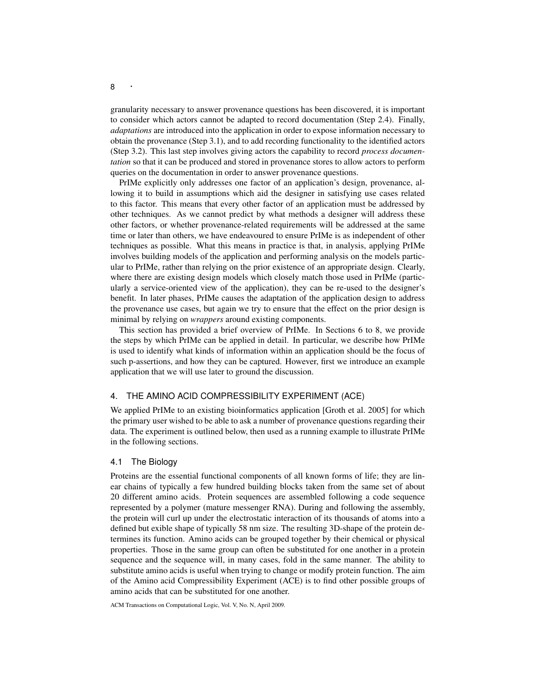granularity necessary to answer provenance questions has been discovered, it is important to consider which actors cannot be adapted to record documentation (Step 2.4). Finally, *adaptations* are introduced into the application in order to expose information necessary to obtain the provenance (Step 3.1), and to add recording functionality to the identified actors (Step 3.2). This last step involves giving actors the capability to record *process documentation* so that it can be produced and stored in provenance stores to allow actors to perform queries on the documentation in order to answer provenance questions.

PrIMe explicitly only addresses one factor of an application's design, provenance, allowing it to build in assumptions which aid the designer in satisfying use cases related to this factor. This means that every other factor of an application must be addressed by other techniques. As we cannot predict by what methods a designer will address these other factors, or whether provenance-related requirements will be addressed at the same time or later than others, we have endeavoured to ensure PrIMe is as independent of other techniques as possible. What this means in practice is that, in analysis, applying PrIMe involves building models of the application and performing analysis on the models particular to PrIMe, rather than relying on the prior existence of an appropriate design. Clearly, where there are existing design models which closely match those used in PrIMe (particularly a service-oriented view of the application), they can be re-used to the designer's benefit. In later phases, PrIMe causes the adaptation of the application design to address the provenance use cases, but again we try to ensure that the effect on the prior design is minimal by relying on *wrappers* around existing components.

This section has provided a brief overview of PrIMe. In Sections 6 to 8, we provide the steps by which PrIMe can be applied in detail. In particular, we describe how PrIMe is used to identify what kinds of information within an application should be the focus of such p-assertions, and how they can be captured. However, first we introduce an example application that we will use later to ground the discussion.

# 4. THE AMINO ACID COMPRESSIBILITY EXPERIMENT (ACE)

We applied PrIMe to an existing bioinformatics application [Groth et al. 2005] for which the primary user wished to be able to ask a number of provenance questions regarding their data. The experiment is outlined below, then used as a running example to illustrate PrIMe in the following sections.

## 4.1 The Biology

Proteins are the essential functional components of all known forms of life; they are linear chains of typically a few hundred building blocks taken from the same set of about 20 different amino acids. Protein sequences are assembled following a code sequence represented by a polymer (mature messenger RNA). During and following the assembly, the protein will curl up under the electrostatic interaction of its thousands of atoms into a defined but exible shape of typically 58 nm size. The resulting 3D-shape of the protein determines its function. Amino acids can be grouped together by their chemical or physical properties. Those in the same group can often be substituted for one another in a protein sequence and the sequence will, in many cases, fold in the same manner. The ability to substitute amino acids is useful when trying to change or modify protein function. The aim of the Amino acid Compressibility Experiment (ACE) is to find other possible groups of amino acids that can be substituted for one another.

ACM Transactions on Computational Logic, Vol. V, No. N, April 2009.

<sup>8</sup> ·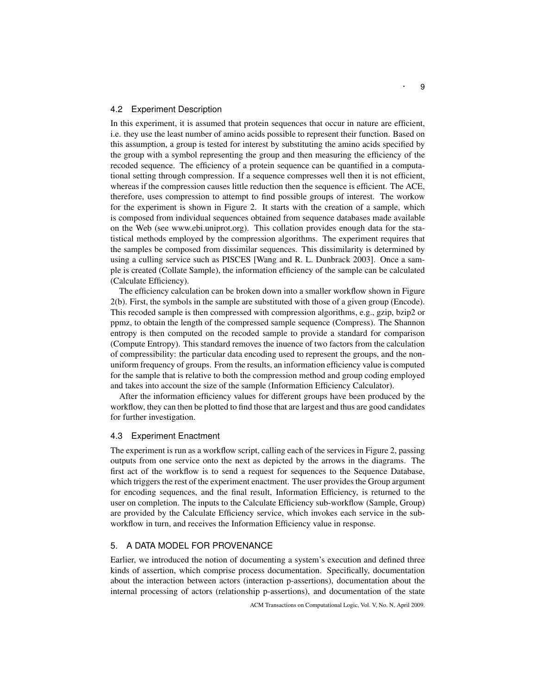## 4.2 Experiment Description

In this experiment, it is assumed that protein sequences that occur in nature are efficient, i.e. they use the least number of amino acids possible to represent their function. Based on this assumption, a group is tested for interest by substituting the amino acids specified by the group with a symbol representing the group and then measuring the efficiency of the recoded sequence. The efficiency of a protein sequence can be quantified in a computational setting through compression. If a sequence compresses well then it is not efficient, whereas if the compression causes little reduction then the sequence is efficient. The ACE, therefore, uses compression to attempt to find possible groups of interest. The workow for the experiment is shown in Figure 2. It starts with the creation of a sample, which is composed from individual sequences obtained from sequence databases made available on the Web (see www.ebi.uniprot.org). This collation provides enough data for the statistical methods employed by the compression algorithms. The experiment requires that the samples be composed from dissimilar sequences. This dissimilarity is determined by using a culling service such as PISCES [Wang and R. L. Dunbrack 2003]. Once a sample is created (Collate Sample), the information efficiency of the sample can be calculated (Calculate Efficiency).

The efficiency calculation can be broken down into a smaller workflow shown in Figure 2(b). First, the symbols in the sample are substituted with those of a given group (Encode). This recoded sample is then compressed with compression algorithms, e.g., gzip, bzip2 or ppmz, to obtain the length of the compressed sample sequence (Compress). The Shannon entropy is then computed on the recoded sample to provide a standard for comparison (Compute Entropy). This standard removes the inuence of two factors from the calculation of compressibility: the particular data encoding used to represent the groups, and the nonuniform frequency of groups. From the results, an information efficiency value is computed for the sample that is relative to both the compression method and group coding employed and takes into account the size of the sample (Information Efficiency Calculator).

After the information efficiency values for different groups have been produced by the workflow, they can then be plotted to find those that are largest and thus are good candidates for further investigation.

#### 4.3 Experiment Enactment

The experiment is run as a workflow script, calling each of the services in Figure 2, passing outputs from one service onto the next as depicted by the arrows in the diagrams. The first act of the workflow is to send a request for sequences to the Sequence Database, which triggers the rest of the experiment enactment. The user provides the Group argument for encoding sequences, and the final result, Information Efficiency, is returned to the user on completion. The inputs to the Calculate Efficiency sub-workflow (Sample, Group) are provided by the Calculate Efficiency service, which invokes each service in the subworkflow in turn, and receives the Information Efficiency value in response.

# 5. A DATA MODEL FOR PROVENANCE

Earlier, we introduced the notion of documenting a system's execution and defined three kinds of assertion, which comprise process documentation. Specifically, documentation about the interaction between actors (interaction p-assertions), documentation about the internal processing of actors (relationship p-assertions), and documentation of the state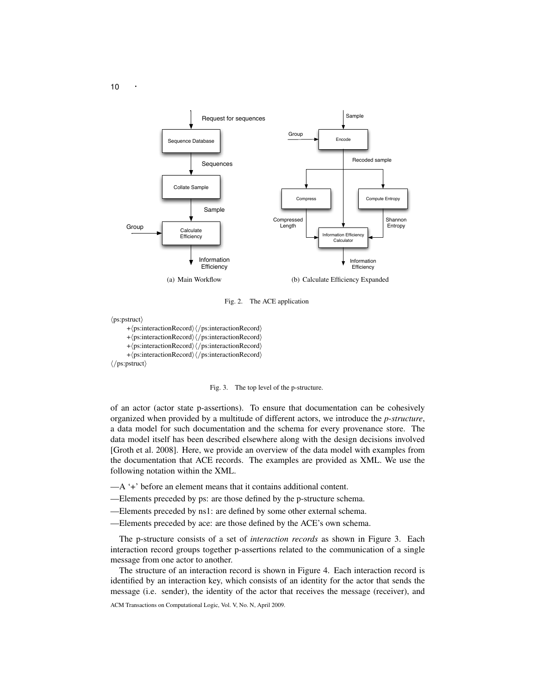

Fig. 2. The ACE application

 $\langle$ ps:pstruct $\rangle$ 

 $+\langle$ ps:interactionRecord $\rangle$  $\langle$ /ps:interactionRecord $\rangle$  $+\langle$ ps:interactionRecord $\rangle$  $\langle$ /ps:interactionRecord $\rangle$  $+\langle$ ps:interactionRecord $\rangle$  $\langle$ /ps:interactionRecord $\rangle$  $+\langle$ ps:interactionRecord $\rangle$  $\langle$ /ps:interactionRecord $\rangle$ 

 $\langle$ /ps:pstruct $\rangle$ 

Fig. 3. The top level of the p-structure.

of an actor (actor state p-assertions). To ensure that documentation can be cohesively organized when provided by a multitude of different actors, we introduce the *p-structure*, a data model for such documentation and the schema for every provenance store. The data model itself has been described elsewhere along with the design decisions involved [Groth et al. 2008]. Here, we provide an overview of the data model with examples from the documentation that ACE records. The examples are provided as XML. We use the following notation within the XML.

- —A '+' before an element means that it contains additional content.
- —Elements preceded by ps: are those defined by the p-structure schema.
- —Elements preceded by ns1: are defined by some other external schema.
- —Elements preceded by ace: are those defined by the ACE's own schema.

The p-structure consists of a set of *interaction records* as shown in Figure 3. Each interaction record groups together p-assertions related to the communication of a single message from one actor to another.

The structure of an interaction record is shown in Figure 4. Each interaction record is identified by an interaction key, which consists of an identity for the actor that sends the message (i.e. sender), the identity of the actor that receives the message (receiver), and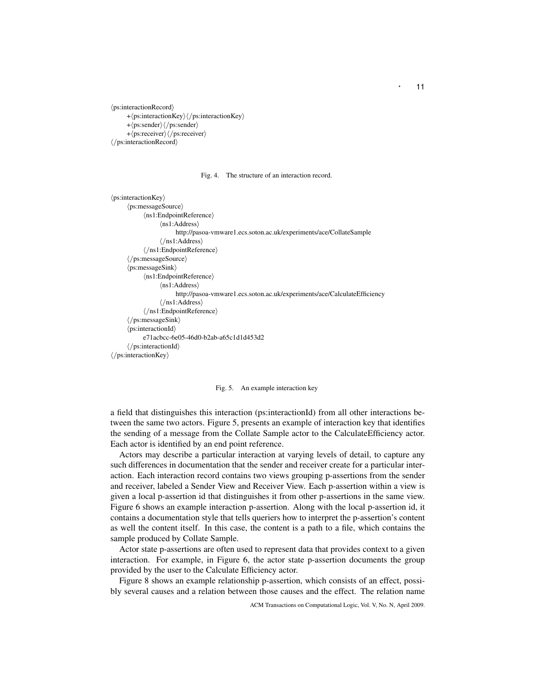$\langle$ ps:interactionRecord $\rangle$ 

+ $\langle$ ps:interactionKey $\rangle$  $\langle$ /ps:interactionKey $\rangle$  $+\langle$ ps:sender $\rangle$  $\langle$ /ps:sender $\rangle$  $+\langle$ ps:receiver $\rangle$  $\langle$ /ps:receiver $\rangle$  $\langle$ /ps:interactionRecord $\rangle$ 

#### Fig. 4. The structure of an interaction record.

```
\langleps:interactionKey\ranglehps:messageSourcei
             \langlens1:EndpointReference\rangle\langlens1:Address\ranglehttp://pasoa-vmware1.ecs.soton.ac.uk/experiments/ace/CollateSample
                     \langle /ns1:Address \rangle\langle/ns1:EndpointReference\rangle\langle/ps:messageSource\rangle\langleps:messageSink\rangle\langlens1:EndpointReference\rangle\langlens1:Address\ranglehttp://pasoa-vmware1.ecs.soton.ac.uk/experiments/ace/CalculateEfficiency
                     \langle /ns1:Address \rangle\langle/ns1:EndpointReference\rangle\langle/ps:messageSink\rangle\langleps:interactionId\ranglee71acbcc-6e05-46d0-b2ab-a65c1d1d453d2
      \langle/ps:interactionId\rangle\langle /ps:interactionKey \rangle
```
#### Fig. 5. An example interaction key

a field that distinguishes this interaction (ps:interactionId) from all other interactions between the same two actors. Figure 5, presents an example of interaction key that identifies the sending of a message from the Collate Sample actor to the CalculateEfficiency actor. Each actor is identified by an end point reference.

Actors may describe a particular interaction at varying levels of detail, to capture any such differences in documentation that the sender and receiver create for a particular interaction. Each interaction record contains two views grouping p-assertions from the sender and receiver, labeled a Sender View and Receiver View. Each p-assertion within a view is given a local p-assertion id that distinguishes it from other p-assertions in the same view. Figure 6 shows an example interaction p-assertion. Along with the local p-assertion id, it contains a documentation style that tells queriers how to interpret the p-assertion's content as well the content itself. In this case, the content is a path to a file, which contains the sample produced by Collate Sample.

Actor state p-assertions are often used to represent data that provides context to a given interaction. For example, in Figure 6, the actor state p-assertion documents the group provided by the user to the Calculate Efficiency actor.

Figure 8 shows an example relationship p-assertion, which consists of an effect, possibly several causes and a relation between those causes and the effect. The relation name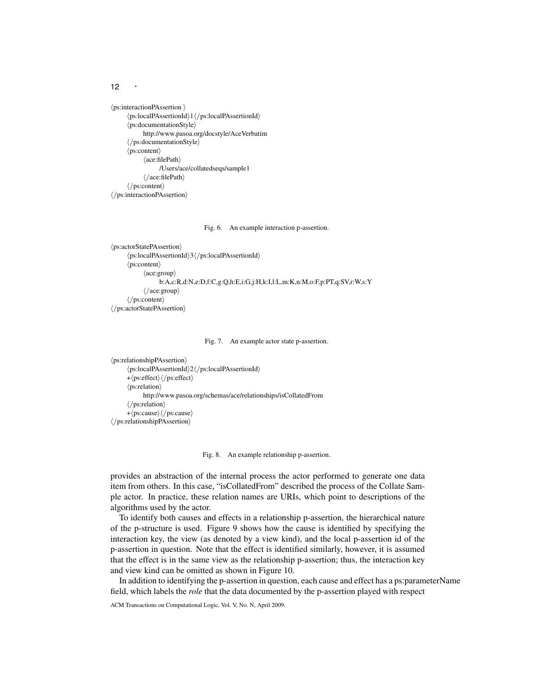$12 \cdot$ 

```
\langleps:interactionPAssertion \rangle\langleps:localPAssertionId\rangle1\langle/ps:localPAssertionId\rangle\langleps:documentationStyle\ranglehttp://www.pasoa.org/docstyle/AceVerbatim
       \langle/ps:documentationStyle\rangle\langleps:content\rangle\langle ace:filePath \rangle/Users/ace/collatedseqs/sample1
               \langle /ace:filePath \rangle\langle/ps:content\rangle\langle /ps:interactionPAssertion \rangle
```
Fig. 6. An example interaction p-assertion.

```
\langleps:actorStatePAssertion\rangle\langleps:localPAssertionId\rangle3\langle/ps:localPAssertionId\rangle\langleps:content\rangle\langleace:group\rangleb:A,c:R,d:N,e:D,f:C,g:Q,h:E,i:G,j:H,k:I,l:L,m:K,n:M,o:F,p:PT,q:SV,r:W,s:Y
               \langle / \text{ace:group} \rangle\langle/ps:content\rangle\langle /ps:actorStatePAssertion \rangle
```
Fig. 7. An example actor state p-assertion.

```
\langleps:relationshipPAssertion\rangle\langleps:localPAssertionId\rangle2\langle/ps:localPAssertionId\rangle+\langleps:effect\rangle\langle/ps:effect\rangle\langleps:relation\ranglehttp://www.pasoa.org/schemas/ace/relationships/isCollatedFrom
       \langle/ps:relation\rangle+\langleps:cause\rangle\langle/ps:cause\rangle\langle /ps:relationshipPAssertion\rangle
```
## Fig. 8. An example relationship p-assertion.

provides an abstraction of the internal process the actor performed to generate one data item from others. In this case, "isCollatedFrom" described the process of the Collate Sample actor. In practice, these relation names are URIs, which point to descriptions of the algorithms used by the actor.

To identify both causes and effects in a relationship p-assertion, the hierarchical nature of the p-structure is used. Figure 9 shows how the cause is identified by specifying the interaction key, the view (as denoted by a view kind), and the local p-assertion id of the p-assertion in question. Note that the effect is identified similarly, however, it is assumed that the effect is in the same view as the relationship p-assertion; thus, the interaction key and view kind can be omitted as shown in Figure 10.

In addition to identifying the p-assertion in question, each cause and effect has a ps:parameterName field, which labels the *role* that the data documented by the p-assertion played with respect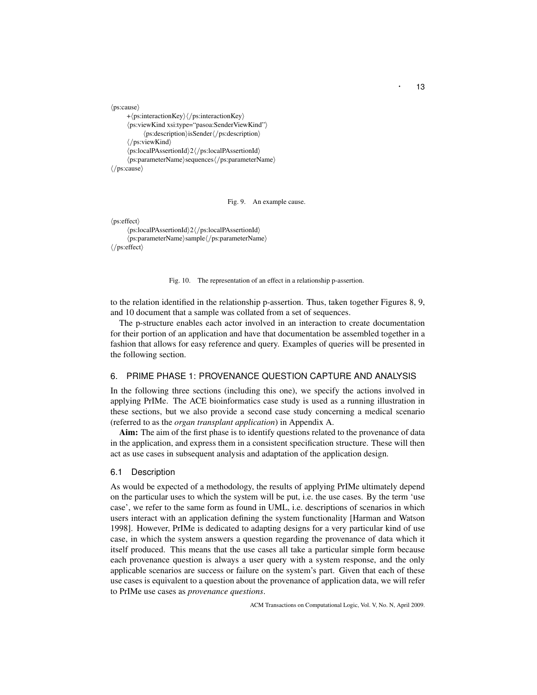$\langle$ ns:cause $\rangle$  $+\langle$ ps:interactionKey $\rangle$  $\langle$ /ps:interactionKey $\rangle$ hps:viewKind xsi:type="pasoa:SenderViewKind"i  $\langle$ ps:description $\rangle$ isSender $\langle$ /ps:description $\rangle$  $\langle$ /ps:viewKind $\rangle$  $\langle$ ps:localPAssertionId $\rangle$ 2 $\langle$ /ps:localPAssertionId $\rangle$  $\langle$ ps:parameterName $\rangle$ sequences $\langle$ /ps:parameterName $\rangle$  $\langle$ /ps:cause $\rangle$ 

Fig. 9. An example cause.

 $\langle$ ps:effect $\rangle$  $\langle$ ps:localPAssertionId $\rangle$ 2 $\langle$ /ps:localPAssertionId $\rangle$  $\langle$ ps:parameterName $\rangle$ sample $\langle$ /ps:parameterName $\rangle$  $\langle$ /ps:effect $\rangle$ 

Fig. 10. The representation of an effect in a relationship p-assertion.

to the relation identified in the relationship p-assertion. Thus, taken together Figures 8, 9, and 10 document that a sample was collated from a set of sequences.

The p-structure enables each actor involved in an interaction to create documentation for their portion of an application and have that documentation be assembled together in a fashion that allows for easy reference and query. Examples of queries will be presented in the following section.

# 6. PRIME PHASE 1: PROVENANCE QUESTION CAPTURE AND ANALYSIS

In the following three sections (including this one), we specify the actions involved in applying PrIMe. The ACE bioinformatics case study is used as a running illustration in these sections, but we also provide a second case study concerning a medical scenario (referred to as the *organ transplant application*) in Appendix A.

Aim: The aim of the first phase is to identify questions related to the provenance of data in the application, and express them in a consistent specification structure. These will then act as use cases in subsequent analysis and adaptation of the application design.

# 6.1 Description

As would be expected of a methodology, the results of applying PrIMe ultimately depend on the particular uses to which the system will be put, i.e. the use cases. By the term 'use case', we refer to the same form as found in UML, i.e. descriptions of scenarios in which users interact with an application defining the system functionality [Harman and Watson 1998]. However, PrIMe is dedicated to adapting designs for a very particular kind of use case, in which the system answers a question regarding the provenance of data which it itself produced. This means that the use cases all take a particular simple form because each provenance question is always a user query with a system response, and the only applicable scenarios are success or failure on the system's part. Given that each of these use cases is equivalent to a question about the provenance of application data, we will refer to PrIMe use cases as *provenance questions*.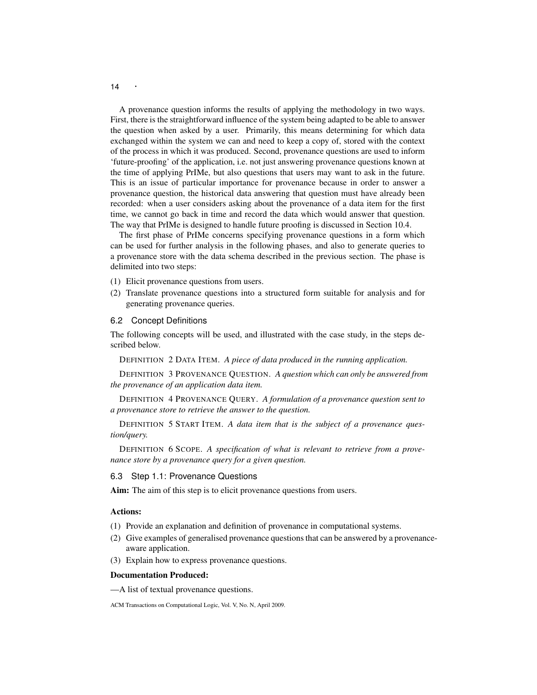A provenance question informs the results of applying the methodology in two ways. First, there is the straightforward influence of the system being adapted to be able to answer the question when asked by a user. Primarily, this means determining for which data exchanged within the system we can and need to keep a copy of, stored with the context of the process in which it was produced. Second, provenance questions are used to inform 'future-proofing' of the application, i.e. not just answering provenance questions known at the time of applying PrIMe, but also questions that users may want to ask in the future. This is an issue of particular importance for provenance because in order to answer a provenance question, the historical data answering that question must have already been recorded: when a user considers asking about the provenance of a data item for the first time, we cannot go back in time and record the data which would answer that question. The way that PrIMe is designed to handle future proofing is discussed in Section 10.4.

The first phase of PrIMe concerns specifying provenance questions in a form which can be used for further analysis in the following phases, and also to generate queries to a provenance store with the data schema described in the previous section. The phase is delimited into two steps:

- (1) Elicit provenance questions from users.
- (2) Translate provenance questions into a structured form suitable for analysis and for generating provenance queries.

#### 6.2 Concept Definitions

The following concepts will be used, and illustrated with the case study, in the steps described below.

DEFINITION 2 DATA ITEM. *A piece of data produced in the running application.*

DEFINITION 3 PROVENANCE QUESTION. *A question which can only be answered from the provenance of an application data item.*

DEFINITION 4 PROVENANCE QUERY. *A formulation of a provenance question sent to a provenance store to retrieve the answer to the question.*

DEFINITION 5 START ITEM. *A data item that is the subject of a provenance question/query.*

DEFINITION 6 SCOPE. *A specification of what is relevant to retrieve from a provenance store by a provenance query for a given question.*

# 6.3 Step 1.1: Provenance Questions

Aim: The aim of this step is to elicit provenance questions from users.

# Actions:

- (1) Provide an explanation and definition of provenance in computational systems.
- (2) Give examples of generalised provenance questions that can be answered by a provenanceaware application.
- (3) Explain how to express provenance questions.

## Documentation Produced:

—A list of textual provenance questions.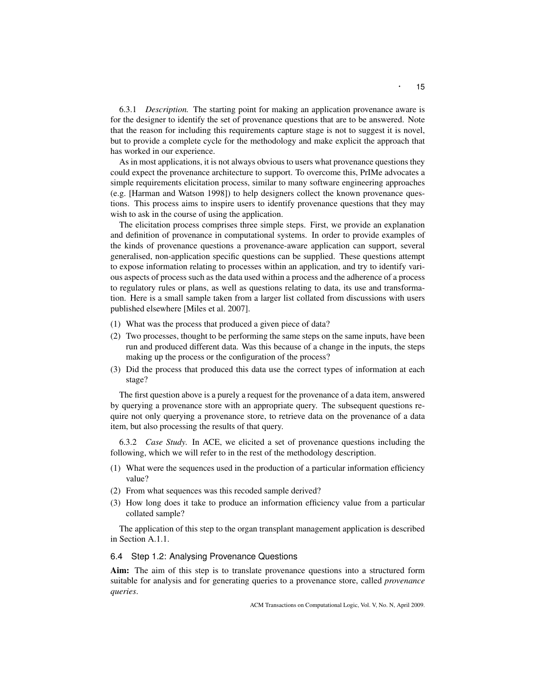6.3.1 *Description.* The starting point for making an application provenance aware is for the designer to identify the set of provenance questions that are to be answered. Note that the reason for including this requirements capture stage is not to suggest it is novel, but to provide a complete cycle for the methodology and make explicit the approach that has worked in our experience.

As in most applications, it is not always obvious to users what provenance questions they could expect the provenance architecture to support. To overcome this, PrIMe advocates a simple requirements elicitation process, similar to many software engineering approaches (e.g. [Harman and Watson 1998]) to help designers collect the known provenance questions. This process aims to inspire users to identify provenance questions that they may wish to ask in the course of using the application.

The elicitation process comprises three simple steps. First, we provide an explanation and definition of provenance in computational systems. In order to provide examples of the kinds of provenance questions a provenance-aware application can support, several generalised, non-application specific questions can be supplied. These questions attempt to expose information relating to processes within an application, and try to identify various aspects of process such as the data used within a process and the adherence of a process to regulatory rules or plans, as well as questions relating to data, its use and transformation. Here is a small sample taken from a larger list collated from discussions with users published elsewhere [Miles et al. 2007].

- (1) What was the process that produced a given piece of data?
- (2) Two processes, thought to be performing the same steps on the same inputs, have been run and produced different data. Was this because of a change in the inputs, the steps making up the process or the configuration of the process?
- (3) Did the process that produced this data use the correct types of information at each stage?

The first question above is a purely a request for the provenance of a data item, answered by querying a provenance store with an appropriate query. The subsequent questions require not only querying a provenance store, to retrieve data on the provenance of a data item, but also processing the results of that query.

6.3.2 *Case Study.* In ACE, we elicited a set of provenance questions including the following, which we will refer to in the rest of the methodology description.

- (1) What were the sequences used in the production of a particular information efficiency value?
- (2) From what sequences was this recoded sample derived?
- (3) How long does it take to produce an information efficiency value from a particular collated sample?

The application of this step to the organ transplant management application is described in Section A.1.1.

# 6.4 Step 1.2: Analysing Provenance Questions

Aim: The aim of this step is to translate provenance questions into a structured form suitable for analysis and for generating queries to a provenance store, called *provenance queries*.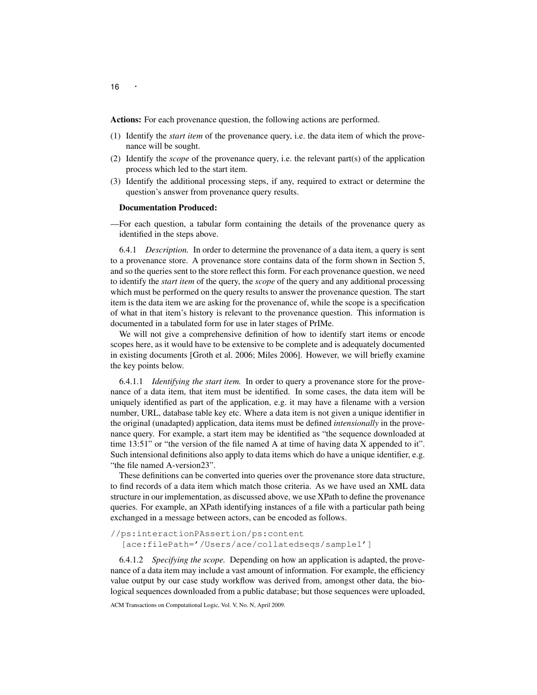Actions: For each provenance question, the following actions are performed.

- (1) Identify the *start item* of the provenance query, i.e. the data item of which the provenance will be sought.
- (2) Identify the *scope* of the provenance query, i.e. the relevant part(s) of the application process which led to the start item.
- (3) Identify the additional processing steps, if any, required to extract or determine the question's answer from provenance query results.

#### Documentation Produced:

—For each question, a tabular form containing the details of the provenance query as identified in the steps above.

6.4.1 *Description.* In order to determine the provenance of a data item, a query is sent to a provenance store. A provenance store contains data of the form shown in Section 5, and so the queries sent to the store reflect this form. For each provenance question, we need to identify the *start item* of the query, the *scope* of the query and any additional processing which must be performed on the query results to answer the provenance question. The start item is the data item we are asking for the provenance of, while the scope is a specification of what in that item's history is relevant to the provenance question. This information is documented in a tabulated form for use in later stages of PrIMe.

We will not give a comprehensive definition of how to identify start items or encode scopes here, as it would have to be extensive to be complete and is adequately documented in existing documents [Groth et al. 2006; Miles 2006]. However, we will briefly examine the key points below.

6.4.1.1 *Identifying the start item.* In order to query a provenance store for the provenance of a data item, that item must be identified. In some cases, the data item will be uniquely identified as part of the application, e.g. it may have a filename with a version number, URL, database table key etc. Where a data item is not given a unique identifier in the original (unadapted) application, data items must be defined *intensionally* in the provenance query. For example, a start item may be identified as "the sequence downloaded at time 13:51" or "the version of the file named A at time of having data X appended to it". Such intensional definitions also apply to data items which do have a unique identifier, e.g. "the file named A-version23".

These definitions can be converted into queries over the provenance store data structure, to find records of a data item which match those criteria. As we have used an XML data structure in our implementation, as discussed above, we use XPath to define the provenance queries. For example, an XPath identifying instances of a file with a particular path being exchanged in a message between actors, can be encoded as follows.

//ps:interactionPAssertion/ps:content [ace:filePath='/Users/ace/collatedseqs/sample1']

6.4.1.2 *Specifying the scope.* Depending on how an application is adapted, the provenance of a data item may include a vast amount of information. For example, the efficiency value output by our case study workflow was derived from, amongst other data, the biological sequences downloaded from a public database; but those sequences were uploaded,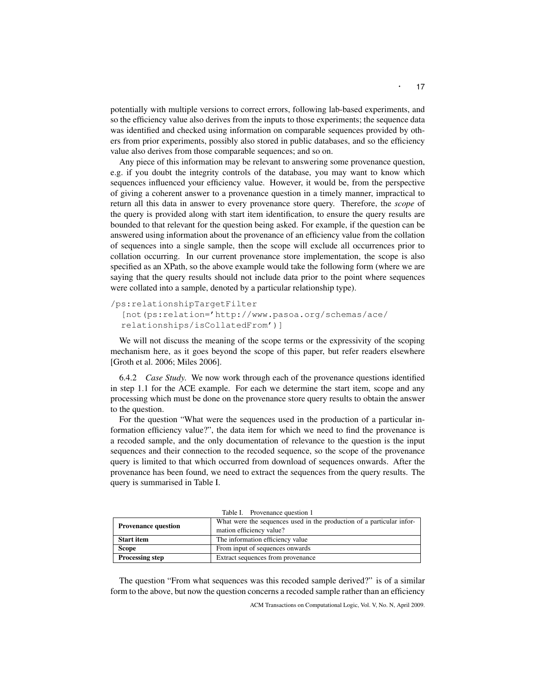potentially with multiple versions to correct errors, following lab-based experiments, and so the efficiency value also derives from the inputs to those experiments; the sequence data was identified and checked using information on comparable sequences provided by others from prior experiments, possibly also stored in public databases, and so the efficiency value also derives from those comparable sequences; and so on.

Any piece of this information may be relevant to answering some provenance question, e.g. if you doubt the integrity controls of the database, you may want to know which sequences influenced your efficiency value. However, it would be, from the perspective of giving a coherent answer to a provenance question in a timely manner, impractical to return all this data in answer to every provenance store query. Therefore, the *scope* of the query is provided along with start item identification, to ensure the query results are bounded to that relevant for the question being asked. For example, if the question can be answered using information about the provenance of an efficiency value from the collation of sequences into a single sample, then the scope will exclude all occurrences prior to collation occurring. In our current provenance store implementation, the scope is also specified as an XPath, so the above example would take the following form (where we are saying that the query results should not include data prior to the point where sequences were collated into a sample, denoted by a particular relationship type).

```
/ps:relationshipTargetFilter
 [not(ps:relation='http://www.pasoa.org/schemas/ace/
relationships/isCollatedFrom')]
```
We will not discuss the meaning of the scope terms or the expressivity of the scoping mechanism here, as it goes beyond the scope of this paper, but refer readers elsewhere [Groth et al. 2006; Miles 2006].

6.4.2 *Case Study.* We now work through each of the provenance questions identified in step 1.1 for the ACE example. For each we determine the start item, scope and any processing which must be done on the provenance store query results to obtain the answer to the question.

For the question "What were the sequences used in the production of a particular information efficiency value?", the data item for which we need to find the provenance is a recoded sample, and the only documentation of relevance to the question is the input sequences and their connection to the recoded sequence, so the scope of the provenance query is limited to that which occurred from download of sequences onwards. After the provenance has been found, we need to extract the sequences from the query results. The query is summarised in Table I.

| Table I. Provenance question 1 |                                                                       |  |  |
|--------------------------------|-----------------------------------------------------------------------|--|--|
| <b>Provenance question</b>     | What were the sequences used in the production of a particular infor- |  |  |
|                                | mation efficiency value?                                              |  |  |
| <b>Start item</b>              | The information efficiency value                                      |  |  |
| <b>Scope</b>                   | From input of sequences onwards                                       |  |  |
| <b>Processing step</b>         | Extract sequences from provenance                                     |  |  |

The question "From what sequences was this recoded sample derived?" is of a similar form to the above, but now the question concerns a recoded sample rather than an efficiency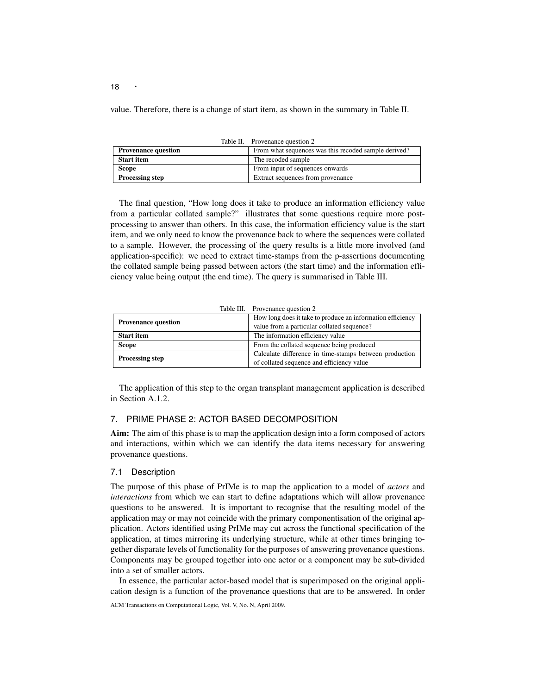value. Therefore, there is a change of start item, as shown in the summary in Table II.

|                            | rable $\pi$ . Provenance question $\Delta$           |
|----------------------------|------------------------------------------------------|
| <b>Provenance question</b> | From what sequences was this recoded sample derived? |
| <b>Start item</b>          | The recoded sample                                   |
| <b>Scope</b>               | From input of sequences onwards                      |
| <b>Processing step</b>     | Extract sequences from provenance                    |

Table II. Provenance

The final question, "How long does it take to produce an information efficiency value from a particular collated sample?" illustrates that some questions require more postprocessing to answer than others. In this case, the information efficiency value is the start item, and we only need to know the provenance back to where the sequences were collated to a sample. However, the processing of the query results is a little more involved (and application-specific): we need to extract time-stamps from the p-assertions documenting the collated sample being passed between actors (the start time) and the information efficiency value being output (the end time). The query is summarised in Table III.

|                            | Table III. Provenance question 2                           |
|----------------------------|------------------------------------------------------------|
|                            | How long does it take to produce an information efficiency |
| <b>Provenance question</b> | value from a particular collated sequence?                 |
| <b>Start item</b>          | The information efficiency value                           |
| <b>Scope</b>               | From the collated sequence being produced                  |
|                            | Calculate difference in time-stamps between production     |
| <b>Processing step</b>     | of collated sequence and efficiency value                  |

The application of this step to the organ transplant management application is described

# 7. PRIME PHASE 2: ACTOR BASED DECOMPOSITION

Aim: The aim of this phase is to map the application design into a form composed of actors and interactions, within which we can identify the data items necessary for answering provenance questions.

# 7.1 Description

in Section A.1.2.

The purpose of this phase of PrIMe is to map the application to a model of *actors* and *interactions* from which we can start to define adaptations which will allow provenance questions to be answered. It is important to recognise that the resulting model of the application may or may not coincide with the primary componentisation of the original application. Actors identified using PrIMe may cut across the functional specification of the application, at times mirroring its underlying structure, while at other times bringing together disparate levels of functionality for the purposes of answering provenance questions. Components may be grouped together into one actor or a component may be sub-divided into a set of smaller actors.

In essence, the particular actor-based model that is superimposed on the original application design is a function of the provenance questions that are to be answered. In order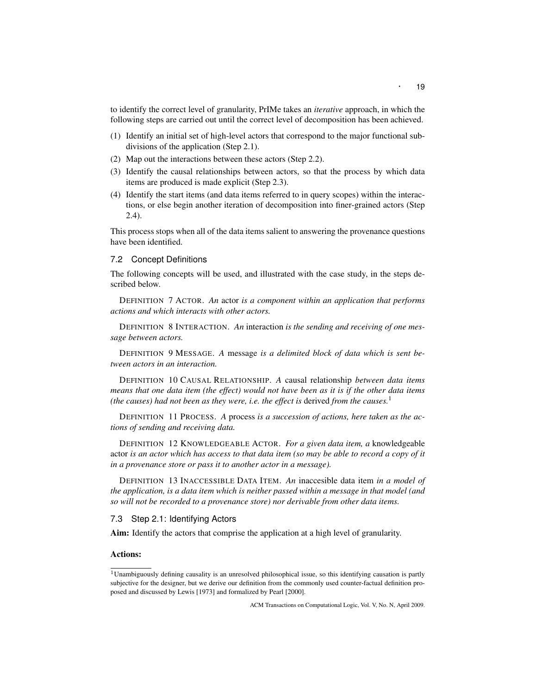to identify the correct level of granularity, PrIMe takes an *iterative* approach, in which the following steps are carried out until the correct level of decomposition has been achieved.

- (1) Identify an initial set of high-level actors that correspond to the major functional subdivisions of the application (Step 2.1).
- (2) Map out the interactions between these actors (Step 2.2).
- (3) Identify the causal relationships between actors, so that the process by which data items are produced is made explicit (Step 2.3).
- (4) Identify the start items (and data items referred to in query scopes) within the interactions, or else begin another iteration of decomposition into finer-grained actors (Step 2.4).

This process stops when all of the data items salient to answering the provenance questions have been identified.

# 7.2 Concept Definitions

The following concepts will be used, and illustrated with the case study, in the steps described below.

DEFINITION 7 ACTOR. *An* actor *is a component within an application that performs actions and which interacts with other actors.*

DEFINITION 8 INTERACTION. *An* interaction *is the sending and receiving of one message between actors.*

DEFINITION 9 MESSAGE. *A* message *is a delimited block of data which is sent between actors in an interaction.*

DEFINITION 10 CAUSAL RELATIONSHIP. *A* causal relationship *between data items means that one data item (the effect) would not have been as it is if the other data items (the causes) had not been as they were, i.e. the effect is* derived *from the causes.*<sup>1</sup>

DEFINITION 11 PROCESS. *A* process *is a succession of actions, here taken as the actions of sending and receiving data.*

DEFINITION 12 KNOWLEDGEABLE ACTOR. *For a given data item, a* knowledgeable actor *is an actor which has access to that data item (so may be able to record a copy of it in a provenance store or pass it to another actor in a message).*

DEFINITION 13 INACCESSIBLE DATA ITEM. *An* inaccesible data item *in a model of the application, is a data item which is neither passed within a message in that model (and so will not be recorded to a provenance store) nor derivable from other data items.*

# 7.3 Step 2.1: Identifying Actors

Aim: Identify the actors that comprise the application at a high level of granularity.

# Actions:

<sup>&</sup>lt;sup>1</sup>Unambiguously defining causality is an unresolved philosophical issue, so this identifying causation is partly subjective for the designer, but we derive our definition from the commonly used counter-factual definition proposed and discussed by Lewis [1973] and formalized by Pearl [2000].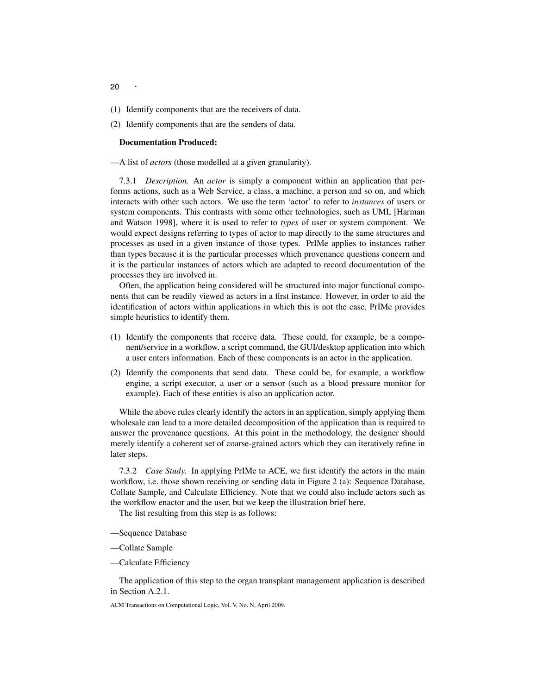- (1) Identify components that are the receivers of data.
- (2) Identify components that are the senders of data.

#### Documentation Produced:

—A list of *actors* (those modelled at a given granularity).

7.3.1 *Description.* An *actor* is simply a component within an application that performs actions, such as a Web Service, a class, a machine, a person and so on, and which interacts with other such actors. We use the term 'actor' to refer to *instances* of users or system components. This contrasts with some other technologies, such as UML [Harman and Watson 1998], where it is used to refer to *types* of user or system component. We would expect designs referring to types of actor to map directly to the same structures and processes as used in a given instance of those types. PrIMe applies to instances rather than types because it is the particular processes which provenance questions concern and it is the particular instances of actors which are adapted to record documentation of the processes they are involved in.

Often, the application being considered will be structured into major functional components that can be readily viewed as actors in a first instance. However, in order to aid the identification of actors within applications in which this is not the case, PrIMe provides simple heuristics to identify them.

- (1) Identify the components that receive data. These could, for example, be a component/service in a workflow, a script command, the GUI/desktop application into which a user enters information. Each of these components is an actor in the application.
- (2) Identify the components that send data. These could be, for example, a workflow engine, a script executor, a user or a sensor (such as a blood pressure monitor for example). Each of these entities is also an application actor.

While the above rules clearly identify the actors in an application, simply applying them wholesale can lead to a more detailed decomposition of the application than is required to answer the provenance questions. At this point in the methodology, the designer should merely identify a coherent set of coarse-grained actors which they can iteratively refine in later steps.

7.3.2 *Case Study.* In applying PrIMe to ACE, we first identify the actors in the main workflow, i.e. those shown receiving or sending data in Figure 2 (a): Sequence Database, Collate Sample, and Calculate Efficiency. Note that we could also include actors such as the workflow enactor and the user, but we keep the illustration brief here.

The list resulting from this step is as follows:

- —Sequence Database
- —Collate Sample
- —Calculate Efficiency

The application of this step to the organ transplant management application is described in Section A.2.1.

ACM Transactions on Computational Logic, Vol. V, No. N, April 2009.

 $20 -$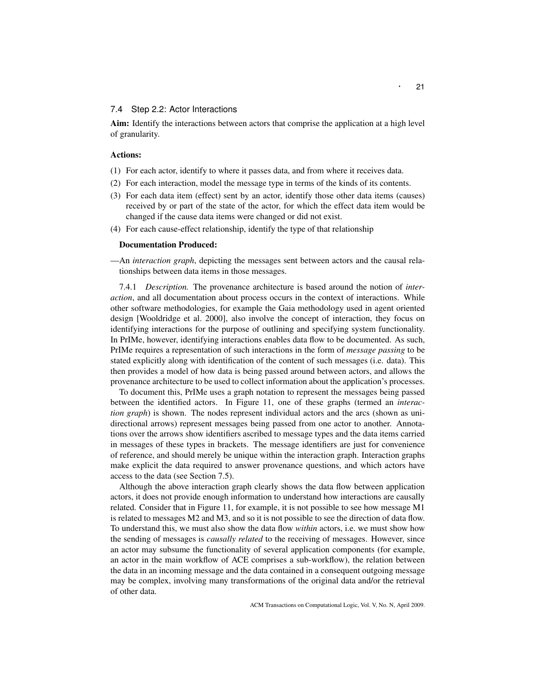# 7.4 Step 2.2: Actor Interactions

Aim: Identify the interactions between actors that comprise the application at a high level of granularity.

# Actions:

- (1) For each actor, identify to where it passes data, and from where it receives data.
- (2) For each interaction, model the message type in terms of the kinds of its contents.
- (3) For each data item (effect) sent by an actor, identify those other data items (causes) received by or part of the state of the actor, for which the effect data item would be changed if the cause data items were changed or did not exist.
- (4) For each cause-effect relationship, identify the type of that relationship

# Documentation Produced:

—An *interaction graph*, depicting the messages sent between actors and the causal relationships between data items in those messages.

7.4.1 *Description.* The provenance architecture is based around the notion of *interaction*, and all documentation about process occurs in the context of interactions. While other software methodologies, for example the Gaia methodology used in agent oriented design [Wooldridge et al. 2000], also involve the concept of interaction, they focus on identifying interactions for the purpose of outlining and specifying system functionality. In PrIMe, however, identifying interactions enables data flow to be documented. As such, PrIMe requires a representation of such interactions in the form of *message passing* to be stated explicitly along with identification of the content of such messages (i.e. data). This then provides a model of how data is being passed around between actors, and allows the provenance architecture to be used to collect information about the application's processes.

To document this, PrIMe uses a graph notation to represent the messages being passed between the identified actors. In Figure 11, one of these graphs (termed an *interaction graph*) is shown. The nodes represent individual actors and the arcs (shown as unidirectional arrows) represent messages being passed from one actor to another. Annotations over the arrows show identifiers ascribed to message types and the data items carried in messages of these types in brackets. The message identifiers are just for convenience of reference, and should merely be unique within the interaction graph. Interaction graphs make explicit the data required to answer provenance questions, and which actors have access to the data (see Section 7.5).

Although the above interaction graph clearly shows the data flow between application actors, it does not provide enough information to understand how interactions are causally related. Consider that in Figure 11, for example, it is not possible to see how message M1 is related to messages M2 and M3, and so it is not possible to see the direction of data flow. To understand this, we must also show the data flow *within* actors, i.e. we must show how the sending of messages is *causally related* to the receiving of messages. However, since an actor may subsume the functionality of several application components (for example, an actor in the main workflow of ACE comprises a sub-workflow), the relation between the data in an incoming message and the data contained in a consequent outgoing message may be complex, involving many transformations of the original data and/or the retrieval of other data.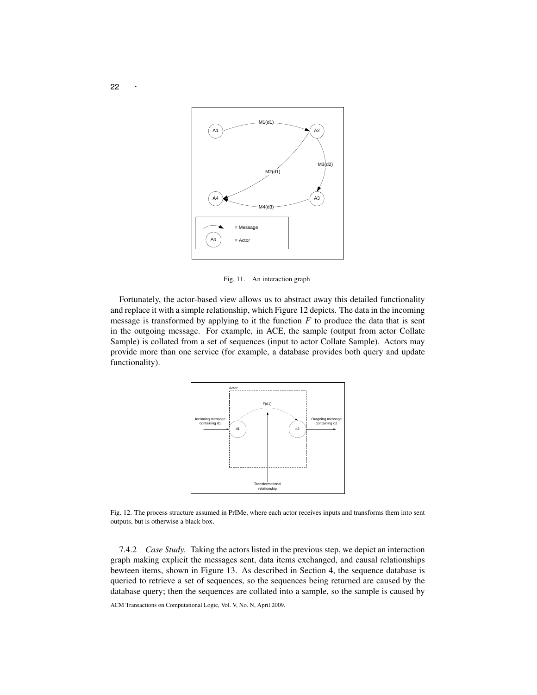

Fig. 11. An interaction graph

Fortunately, the actor-based view allows us to abstract away this detailed functionality and replace it with a simple relationship, which Figure 12 depicts. The data in the incoming message is transformed by applying to it the function  $F$  to produce the data that is sent in the outgoing message. For example, in ACE, the sample (output from actor Collate Sample) is collated from a set of sequences (input to actor Collate Sample). Actors may provide more than one service (for example, a database provides both query and update functionality).



Fig. 12. The process structure assumed in PrIMe, where each actor receives inputs and transforms them into sent outputs, but is otherwise a black box.

7.4.2 *Case Study.* Taking the actors listed in the previous step, we depict an interaction graph making explicit the messages sent, data items exchanged, and causal relationships bewteen items, shown in Figure 13. As described in Section 4, the sequence database is queried to retrieve a set of sequences, so the sequences being returned are caused by the database query; then the sequences are collated into a sample, so the sample is caused by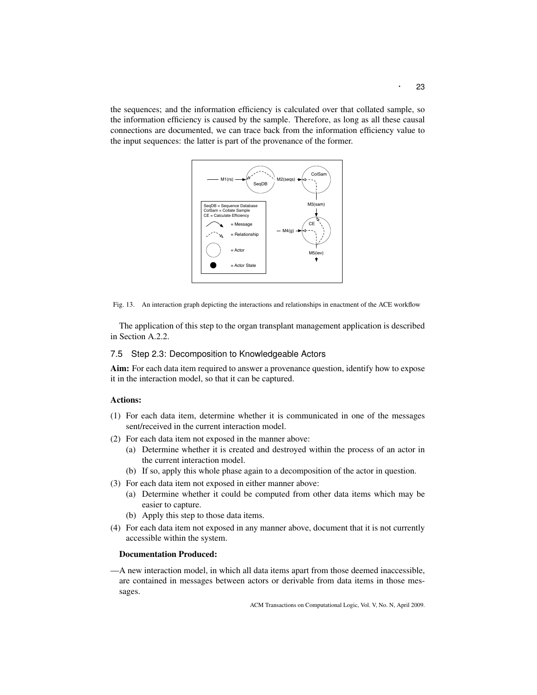the sequences; and the information efficiency is calculated over that collated sample, so the information efficiency is caused by the sample. Therefore, as long as all these causal connections are documented, we can trace back from the information efficiency value to the input sequences: the latter is part of the provenance of the former.





The application of this step to the organ transplant management application is described in Section A.2.2.

## 7.5 Step 2.3: Decomposition to Knowledgeable Actors

Aim: For each data item required to answer a provenance question, identify how to expose it in the interaction model, so that it can be captured.

# Actions:

- (1) For each data item, determine whether it is communicated in one of the messages sent/received in the current interaction model.
- (2) For each data item not exposed in the manner above:
	- (a) Determine whether it is created and destroyed within the process of an actor in the current interaction model.
	- (b) If so, apply this whole phase again to a decomposition of the actor in question.
- (3) For each data item not exposed in either manner above:
	- (a) Determine whether it could be computed from other data items which may be easier to capture.
	- (b) Apply this step to those data items.
- (4) For each data item not exposed in any manner above, document that it is not currently accessible within the system.

# Documentation Produced:

—A new interaction model, in which all data items apart from those deemed inaccessible, are contained in messages between actors or derivable from data items in those messages.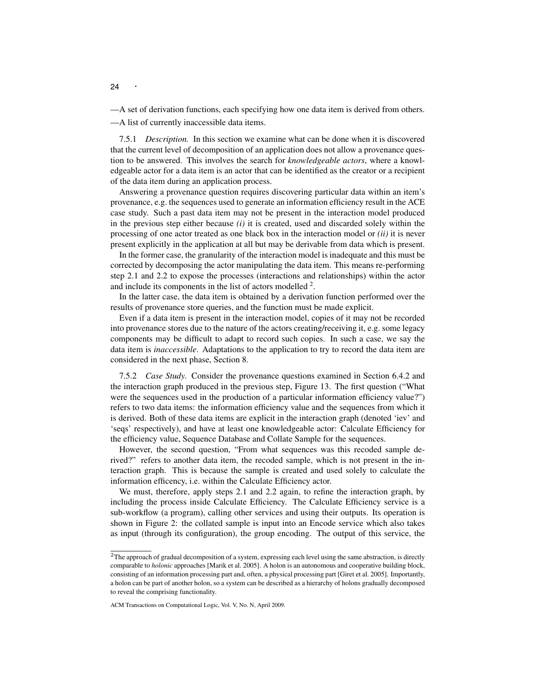—A set of derivation functions, each specifying how one data item is derived from others. —A list of currently inaccessible data items.

7.5.1 *Description.* In this section we examine what can be done when it is discovered that the current level of decomposition of an application does not allow a provenance question to be answered. This involves the search for *knowledgeable actors*, where a knowledgeable actor for a data item is an actor that can be identified as the creator or a recipient of the data item during an application process.

Answering a provenance question requires discovering particular data within an item's provenance, e.g. the sequences used to generate an information efficiency result in the ACE case study. Such a past data item may not be present in the interaction model produced in the previous step either because *(i)* it is created, used and discarded solely within the processing of one actor treated as one black box in the interaction model or *(ii)* it is never present explicitly in the application at all but may be derivable from data which is present.

In the former case, the granularity of the interaction model is inadequate and this must be corrected by decomposing the actor manipulating the data item. This means re-performing step 2.1 and 2.2 to expose the processes (interactions and relationships) within the actor and include its components in the list of actors modelled  $2$ .

In the latter case, the data item is obtained by a derivation function performed over the results of provenance store queries, and the function must be made explicit.

Even if a data item is present in the interaction model, copies of it may not be recorded into provenance stores due to the nature of the actors creating/receiving it, e.g. some legacy components may be difficult to adapt to record such copies. In such a case, we say the data item is *inaccessible*. Adaptations to the application to try to record the data item are considered in the next phase, Section 8.

7.5.2 *Case Study.* Consider the provenance questions examined in Section 6.4.2 and the interaction graph produced in the previous step, Figure 13. The first question ("What were the sequences used in the production of a particular information efficiency value?") refers to two data items: the information efficiency value and the sequences from which it is derived. Both of these data items are explicit in the interaction graph (denoted 'iev' and 'seqs' respectively), and have at least one knowledgeable actor: Calculate Efficiency for the efficiency value, Sequence Database and Collate Sample for the sequences.

However, the second question, "From what sequences was this recoded sample derived?" refers to another data item, the recoded sample, which is not present in the interaction graph. This is because the sample is created and used solely to calculate the information efficency, i.e. within the Calculate Efficiency actor.

We must, therefore, apply steps 2.1 and 2.2 again, to refine the interaction graph, by including the process inside Calculate Efficiency. The Calculate Efficiency service is a sub-workflow (a program), calling other services and using their outputs. Its operation is shown in Figure 2: the collated sample is input into an Encode service which also takes as input (through its configuration), the group encoding. The output of this service, the

 $2$ The approach of gradual decomposition of a system, expressing each level using the same abstraction, is directly comparable to *holonic* approaches [Marik et al. 2005]. A holon is an autonomous and cooperative building block, consisting of an information processing part and, often, a physical processing part [Giret et al. 2005]. Importantly, a holon can be part of another holon, so a system can be described as a hierarchy of holons gradually decomposed to reveal the comprising functionality.

ACM Transactions on Computational Logic, Vol. V, No. N, April 2009.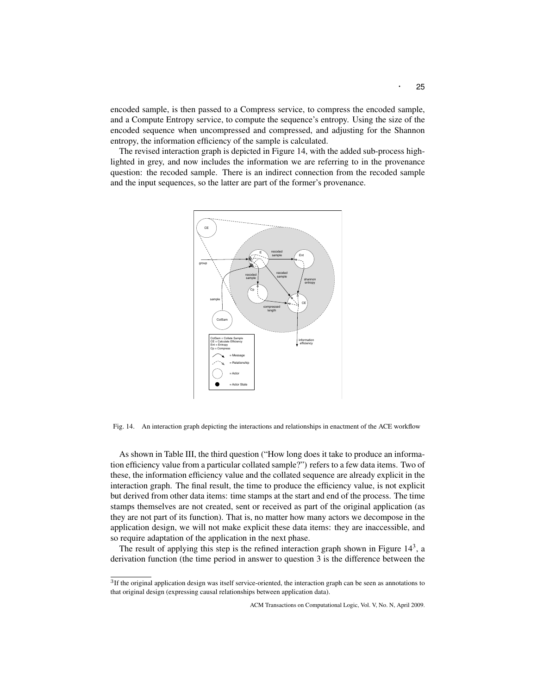encoded sample, is then passed to a Compress service, to compress the encoded sample, and a Compute Entropy service, to compute the sequence's entropy. Using the size of the encoded sequence when uncompressed and compressed, and adjusting for the Shannon entropy, the information efficiency of the sample is calculated.

The revised interaction graph is depicted in Figure 14, with the added sub-process highlighted in grey, and now includes the information we are referring to in the provenance question: the recoded sample. There is an indirect connection from the recoded sample and the input sequences, so the latter are part of the former's provenance.



Fig. 14. An interaction graph depicting the interactions and relationships in enactment of the ACE workflow

As shown in Table III, the third question ("How long does it take to produce an information efficiency value from a particular collated sample?") refers to a few data items. Two of these, the information efficiency value and the collated sequence are already explicit in the interaction graph. The final result, the time to produce the efficiency value, is not explicit but derived from other data items: time stamps at the start and end of the process. The time stamps themselves are not created, sent or received as part of the original application (as they are not part of its function). That is, no matter how many actors we decompose in the application design, we will not make explicit these data items: they are inaccessible, and so require adaptation of the application in the next phase.

The result of applying this step is the refined interaction graph shown in Figure  $14<sup>3</sup>$ , a derivation function (the time period in answer to question 3 is the difference between the

<sup>&</sup>lt;sup>3</sup>If the original application design was itself service-oriented, the interaction graph can be seen as annotations to that original design (expressing causal relationships between application data).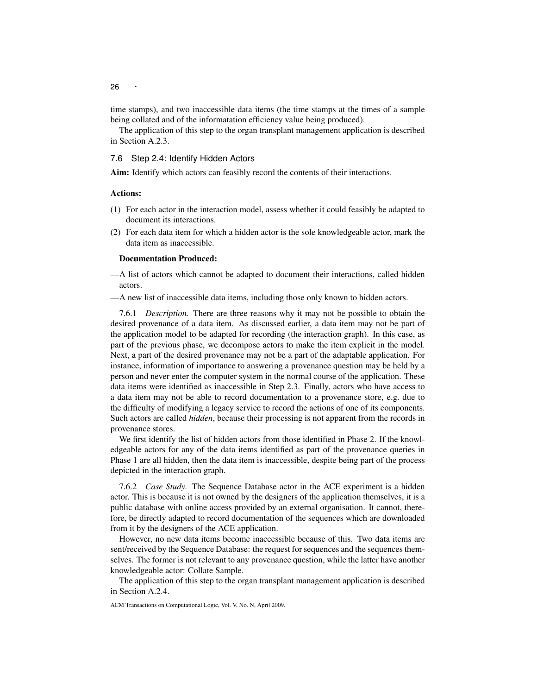time stamps), and two inaccessible data items (the time stamps at the times of a sample being collated and of the informatation efficiency value being produced).

The application of this step to the organ transplant management application is described in Section A.2.3.

# 7.6 Step 2.4: Identify Hidden Actors

Aim: Identify which actors can feasibly record the contents of their interactions.

# Actions:

- (1) For each actor in the interaction model, assess whether it could feasibly be adapted to document its interactions.
- (2) For each data item for which a hidden actor is the sole knowledgeable actor, mark the data item as inaccessible.

#### Documentation Produced:

- —A list of actors which cannot be adapted to document their interactions, called hidden actors.
- —A new list of inaccessible data items, including those only known to hidden actors.

7.6.1 *Description.* There are three reasons why it may not be possible to obtain the desired provenance of a data item. As discussed earlier, a data item may not be part of the application model to be adapted for recording (the interaction graph). In this case, as part of the previous phase, we decompose actors to make the item explicit in the model. Next, a part of the desired provenance may not be a part of the adaptable application. For instance, information of importance to answering a provenance question may be held by a person and never enter the computer system in the normal course of the application. These data items were identified as inaccessible in Step 2.3. Finally, actors who have access to a data item may not be able to record documentation to a provenance store, e.g. due to the difficulty of modifying a legacy service to record the actions of one of its components. Such actors are called *hidden*, because their processing is not apparent from the records in provenance stores.

We first identify the list of hidden actors from those identified in Phase 2. If the knowledgeable actors for any of the data items identified as part of the provenance queries in Phase 1 are all hidden, then the data item is inaccessible, despite being part of the process depicted in the interaction graph.

7.6.2 *Case Study.* The Sequence Database actor in the ACE experiment is a hidden actor. This is because it is not owned by the designers of the application themselves, it is a public database with online access provided by an external organisation. It cannot, therefore, be directly adapted to record documentation of the sequences which are downloaded from it by the designers of the ACE application.

However, no new data items become inaccessible because of this. Two data items are sent/received by the Sequence Database: the request for sequences and the sequences themselves. The former is not relevant to any provenance question, while the latter have another knowledgeable actor: Collate Sample.

The application of this step to the organ transplant management application is described in Section A.2.4.

ACM Transactions on Computational Logic, Vol. V, No. N, April 2009.

<sup>26</sup> ·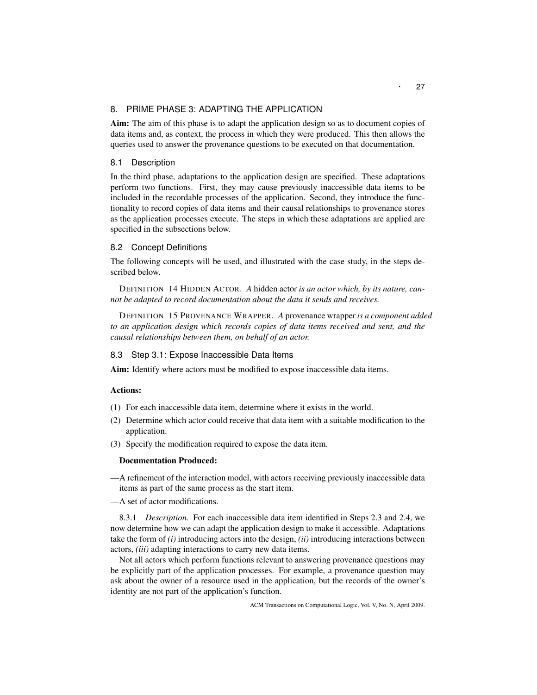# 8. PRIME PHASE 3: ADAPTING THE APPLICATION

Aim: The aim of this phase is to adapt the application design so as to document copies of data items and, as context, the process in which they were produced. This then allows the queries used to answer the provenance questions to be executed on that documentation.

# 8.1 Description

In the third phase, adaptations to the application design are specified. These adaptations perform two functions. First, they may cause previously inaccessible data items to be included in the recordable processes of the application. Second, they introduce the functionality to record copies of data items and their causal relationships to provenance stores as the application processes execute. The steps in which these adaptations are applied are specified in the subsections below.

## 8.2 Concept Definitions

The following concepts will be used, and illustrated with the case study, in the steps described below.

DEFINITION 14 HIDDEN ACTOR. *A* hidden actor *is an actor which, by its nature, cannot be adapted to record documentation about the data it sends and receives.*

DEFINITION 15 PROVENANCE WRAPPER. *A* provenance wrapper *is a component added to an application design which records copies of data items received and sent, and the causal relationships between them, on behalf of an actor.*

# 8.3 Step 3.1: Expose Inaccessible Data Items

Aim: Identify where actors must be modified to expose inaccessible data items.

# Actions:

- (1) For each inaccessible data item, determine where it exists in the world.
- (2) Determine which actor could receive that data item with a suitable modification to the application.
- (3) Specify the modification required to expose the data item.

#### Documentation Produced:

- —A refinement of the interaction model, with actors receiving previously inaccessible data items as part of the same process as the start item.
- —A set of actor modifications.

8.3.1 *Description.* For each inaccessible data item identified in Steps 2.3 and 2.4, we now determine how we can adapt the application design to make it accessible. Adaptations take the form of *(i)* introducing actors into the design, *(ii)* introducing interactions between actors, *(iii)* adapting interactions to carry new data items.

Not all actors which perform functions relevant to answering provenance questions may be explicitly part of the application processes. For example, a provenance question may ask about the owner of a resource used in the application, but the records of the owner's identity are not part of the application's function.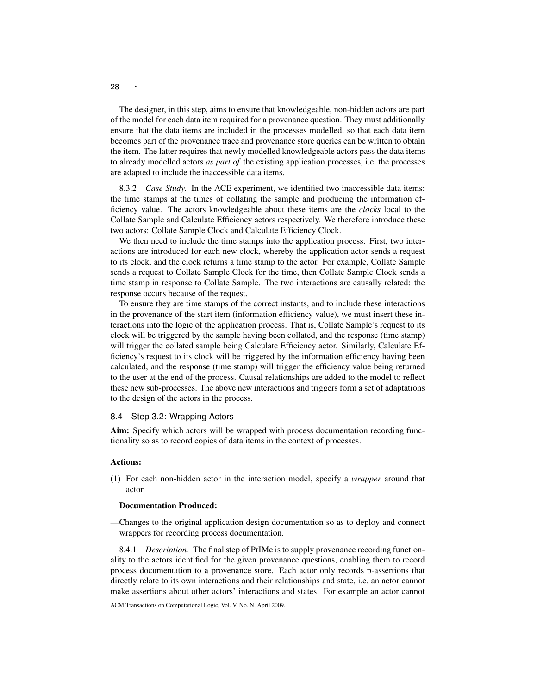The designer, in this step, aims to ensure that knowledgeable, non-hidden actors are part of the model for each data item required for a provenance question. They must additionally ensure that the data items are included in the processes modelled, so that each data item becomes part of the provenance trace and provenance store queries can be written to obtain the item. The latter requires that newly modelled knowledgeable actors pass the data items to already modelled actors *as part of* the existing application processes, i.e. the processes are adapted to include the inaccessible data items.

8.3.2 *Case Study.* In the ACE experiment, we identified two inaccessible data items: the time stamps at the times of collating the sample and producing the information efficiency value. The actors knowledgeable about these items are the *clocks* local to the Collate Sample and Calculate Efficiency actors respectively. We therefore introduce these two actors: Collate Sample Clock and Calculate Efficiency Clock.

We then need to include the time stamps into the application process. First, two interactions are introduced for each new clock, whereby the application actor sends a request to its clock, and the clock returns a time stamp to the actor. For example, Collate Sample sends a request to Collate Sample Clock for the time, then Collate Sample Clock sends a time stamp in response to Collate Sample. The two interactions are causally related: the response occurs because of the request.

To ensure they are time stamps of the correct instants, and to include these interactions in the provenance of the start item (information efficiency value), we must insert these interactions into the logic of the application process. That is, Collate Sample's request to its clock will be triggered by the sample having been collated, and the response (time stamp) will trigger the collated sample being Calculate Efficiency actor. Similarly, Calculate Efficiency's request to its clock will be triggered by the information efficiency having been calculated, and the response (time stamp) will trigger the efficiency value being returned to the user at the end of the process. Causal relationships are added to the model to reflect these new sub-processes. The above new interactions and triggers form a set of adaptations to the design of the actors in the process.

# 8.4 Step 3.2: Wrapping Actors

Aim: Specify which actors will be wrapped with process documentation recording functionality so as to record copies of data items in the context of processes.

# Actions:

(1) For each non-hidden actor in the interaction model, specify a *wrapper* around that actor.

# Documentation Produced:

—Changes to the original application design documentation so as to deploy and connect wrappers for recording process documentation.

8.4.1 *Description.* The final step of PrIMe is to supply provenance recording functionality to the actors identified for the given provenance questions, enabling them to record process documentation to a provenance store. Each actor only records p-assertions that directly relate to its own interactions and their relationships and state, i.e. an actor cannot make assertions about other actors' interactions and states. For example an actor cannot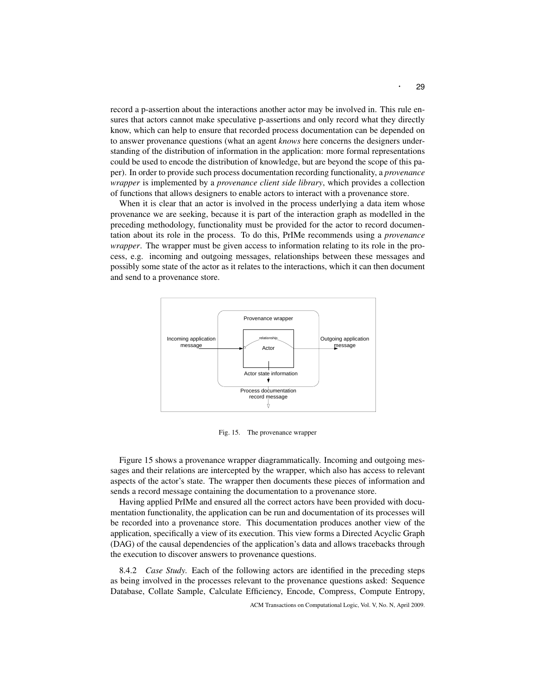record a p-assertion about the interactions another actor may be involved in. This rule ensures that actors cannot make speculative p-assertions and only record what they directly know, which can help to ensure that recorded process documentation can be depended on to answer provenance questions (what an agent *knows* here concerns the designers understanding of the distribution of information in the application: more formal representations could be used to encode the distribution of knowledge, but are beyond the scope of this paper). In order to provide such process documentation recording functionality, a *provenance wrapper* is implemented by a *provenance client side library*, which provides a collection of functions that allows designers to enable actors to interact with a provenance store.

When it is clear that an actor is involved in the process underlying a data item whose provenance we are seeking, because it is part of the interaction graph as modelled in the preceding methodology, functionality must be provided for the actor to record documentation about its role in the process. To do this, PrIMe recommends using a *provenance wrapper*. The wrapper must be given access to information relating to its role in the process, e.g. incoming and outgoing messages, relationships between these messages and possibly some state of the actor as it relates to the interactions, which it can then document and send to a provenance store.



Fig. 15. The provenance wrapper

Figure 15 shows a provenance wrapper diagrammatically. Incoming and outgoing messages and their relations are intercepted by the wrapper, which also has access to relevant aspects of the actor's state. The wrapper then documents these pieces of information and sends a record message containing the documentation to a provenance store.

Having applied PrIMe and ensured all the correct actors have been provided with documentation functionality, the application can be run and documentation of its processes will be recorded into a provenance store. This documentation produces another view of the application, specifically a view of its execution. This view forms a Directed Acyclic Graph (DAG) of the causal dependencies of the application's data and allows tracebacks through the execution to discover answers to provenance questions.

8.4.2 *Case Study.* Each of the following actors are identified in the preceding steps as being involved in the processes relevant to the provenance questions asked: Sequence Database, Collate Sample, Calculate Efficiency, Encode, Compress, Compute Entropy,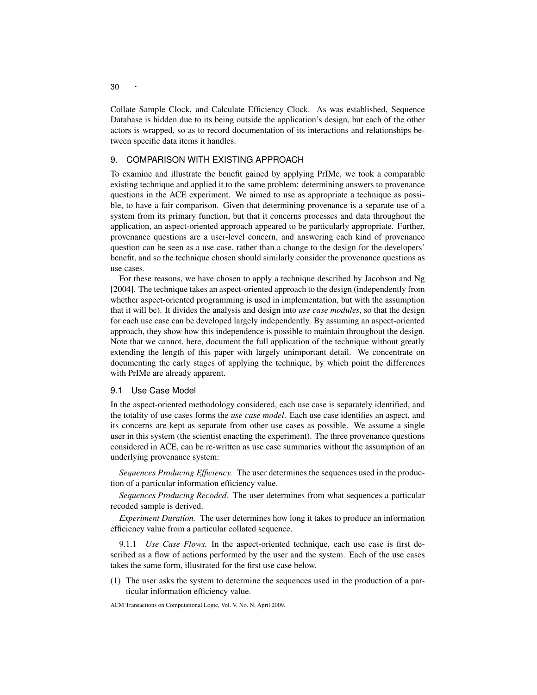Collate Sample Clock, and Calculate Efficiency Clock. As was established, Sequence Database is hidden due to its being outside the application's design, but each of the other actors is wrapped, so as to record documentation of its interactions and relationships between specific data items it handles.

# 9. COMPARISON WITH EXISTING APPROACH

To examine and illustrate the benefit gained by applying PrIMe, we took a comparable existing technique and applied it to the same problem: determining answers to provenance questions in the ACE experiment. We aimed to use as appropriate a technique as possible, to have a fair comparison. Given that determining provenance is a separate use of a system from its primary function, but that it concerns processes and data throughout the application, an aspect-oriented approach appeared to be particularly appropriate. Further, provenance questions are a user-level concern, and answering each kind of provenance question can be seen as a use case, rather than a change to the design for the developers' benefit, and so the technique chosen should similarly consider the provenance questions as use cases.

For these reasons, we have chosen to apply a technique described by Jacobson and Ng [2004]. The technique takes an aspect-oriented approach to the design (independently from whether aspect-oriented programming is used in implementation, but with the assumption that it will be). It divides the analysis and design into *use case modules*, so that the design for each use case can be developed largely independently. By assuming an aspect-oriented approach, they show how this independence is possible to maintain throughout the design. Note that we cannot, here, document the full application of the technique without greatly extending the length of this paper with largely unimportant detail. We concentrate on documenting the early stages of applying the technique, by which point the differences with PrIMe are already apparent.

# 9.1 Use Case Model

In the aspect-oriented methodology considered, each use case is separately identified, and the totality of use cases forms the *use case model*. Each use case identifies an aspect, and its concerns are kept as separate from other use cases as possible. We assume a single user in this system (the scientist enacting the experiment). The three provenance questions considered in ACE, can be re-written as use case summaries without the assumption of an underlying provenance system:

*Sequences Producing Efficiency.* The user determines the sequences used in the production of a particular information efficiency value.

*Sequences Producing Recoded.* The user determines from what sequences a particular recoded sample is derived.

*Experiment Duration.* The user determines how long it takes to produce an information efficiency value from a particular collated sequence.

9.1.1 *Use Case Flows.* In the aspect-oriented technique, each use case is first described as a flow of actions performed by the user and the system. Each of the use cases takes the same form, illustrated for the first use case below.

(1) The user asks the system to determine the sequences used in the production of a particular information efficiency value.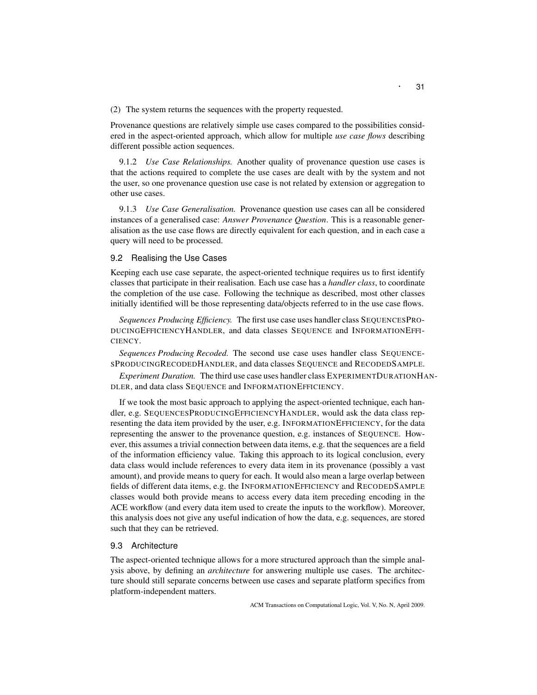(2) The system returns the sequences with the property requested.

Provenance questions are relatively simple use cases compared to the possibilities considered in the aspect-oriented approach, which allow for multiple *use case flows* describing different possible action sequences.

9.1.2 *Use Case Relationships.* Another quality of provenance question use cases is that the actions required to complete the use cases are dealt with by the system and not the user, so one provenance question use case is not related by extension or aggregation to other use cases.

9.1.3 *Use Case Generalisation.* Provenance question use cases can all be considered instances of a generalised case: *Answer Provenance Question*. This is a reasonable generalisation as the use case flows are directly equivalent for each question, and in each case a query will need to be processed.

# 9.2 Realising the Use Cases

Keeping each use case separate, the aspect-oriented technique requires us to first identify classes that participate in their realisation. Each use case has a *handler class*, to coordinate the completion of the use case. Following the technique as described, most other classes initially identified will be those representing data/objects referred to in the use case flows.

*Sequences Producing Efficiency.* The first use case uses handler class SEQUENCESPRO-DUCINGEFFICIENCYHANDLER, and data classes SEQUENCE and INFORMATIONEFFI-CIENCY.

*Sequences Producing Recoded.* The second use case uses handler class SEQUENCE-SPRODUCINGRECODEDHANDLER, and data classes SEOUENCE and RECODEDSAMPLE.

*Experiment Duration.* The third use case uses handler class EXPERIMENTDURATIONHAN-DLER, and data class SEQUENCE and INFORMATIONEFFICIENCY.

If we took the most basic approach to applying the aspect-oriented technique, each handler, e.g. SEQUENCESPRODUCINGEFFICIENCYHANDLER, would ask the data class representing the data item provided by the user, e.g. INFORMATIONEFFICIENCY, for the data representing the answer to the provenance question, e.g. instances of SEQUENCE. However, this assumes a trivial connection between data items, e.g. that the sequences are a field of the information efficiency value. Taking this approach to its logical conclusion, every data class would include references to every data item in its provenance (possibly a vast amount), and provide means to query for each. It would also mean a large overlap between fields of different data items, e.g. the INFORMATIONEFFICIENCY and RECODEDSAMPLE classes would both provide means to access every data item preceding encoding in the ACE workflow (and every data item used to create the inputs to the workflow). Moreover, this analysis does not give any useful indication of how the data, e.g. sequences, are stored such that they can be retrieved.

# 9.3 Architecture

The aspect-oriented technique allows for a more structured approach than the simple analysis above, by defining an *architecture* for answering multiple use cases. The architecture should still separate concerns between use cases and separate platform specifics from platform-independent matters.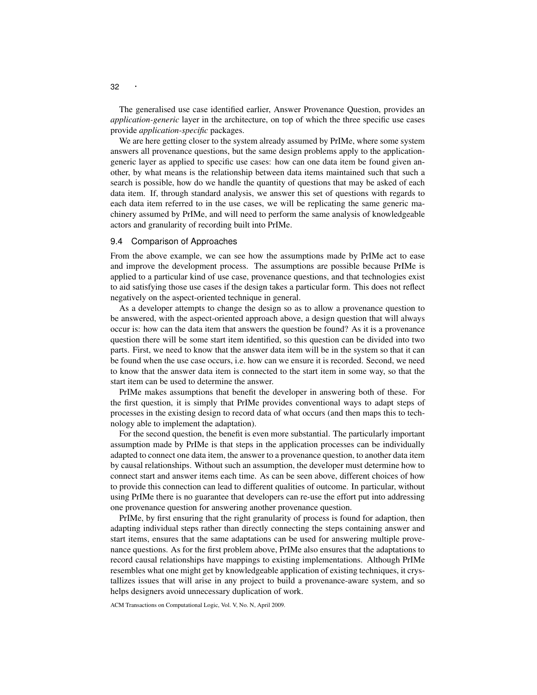The generalised use case identified earlier, Answer Provenance Question, provides an *application-generic* layer in the architecture, on top of which the three specific use cases provide *application-specific* packages.

We are here getting closer to the system already assumed by PrIMe, where some system answers all provenance questions, but the same design problems apply to the applicationgeneric layer as applied to specific use cases: how can one data item be found given another, by what means is the relationship between data items maintained such that such a search is possible, how do we handle the quantity of questions that may be asked of each data item. If, through standard analysis, we answer this set of questions with regards to each data item referred to in the use cases, we will be replicating the same generic machinery assumed by PrIMe, and will need to perform the same analysis of knowledgeable actors and granularity of recording built into PrIMe.

# 9.4 Comparison of Approaches

From the above example, we can see how the assumptions made by PrIMe act to ease and improve the development process. The assumptions are possible because PrIMe is applied to a particular kind of use case, provenance questions, and that technologies exist to aid satisfying those use cases if the design takes a particular form. This does not reflect negatively on the aspect-oriented technique in general.

As a developer attempts to change the design so as to allow a provenance question to be answered, with the aspect-oriented approach above, a design question that will always occur is: how can the data item that answers the question be found? As it is a provenance question there will be some start item identified, so this question can be divided into two parts. First, we need to know that the answer data item will be in the system so that it can be found when the use case occurs, i.e. how can we ensure it is recorded. Second, we need to know that the answer data item is connected to the start item in some way, so that the start item can be used to determine the answer.

PrIMe makes assumptions that benefit the developer in answering both of these. For the first question, it is simply that PrIMe provides conventional ways to adapt steps of processes in the existing design to record data of what occurs (and then maps this to technology able to implement the adaptation).

For the second question, the benefit is even more substantial. The particularly important assumption made by PrIMe is that steps in the application processes can be individually adapted to connect one data item, the answer to a provenance question, to another data item by causal relationships. Without such an assumption, the developer must determine how to connect start and answer items each time. As can be seen above, different choices of how to provide this connection can lead to different qualities of outcome. In particular, without using PrIMe there is no guarantee that developers can re-use the effort put into addressing one provenance question for answering another provenance question.

PrIMe, by first ensuring that the right granularity of process is found for adaption, then adapting individual steps rather than directly connecting the steps containing answer and start items, ensures that the same adaptations can be used for answering multiple provenance questions. As for the first problem above, PrIMe also ensures that the adaptations to record causal relationships have mappings to existing implementations. Although PrIMe resembles what one might get by knowledgeable application of existing techniques, it crystallizes issues that will arise in any project to build a provenance-aware system, and so helps designers avoid unnecessary duplication of work.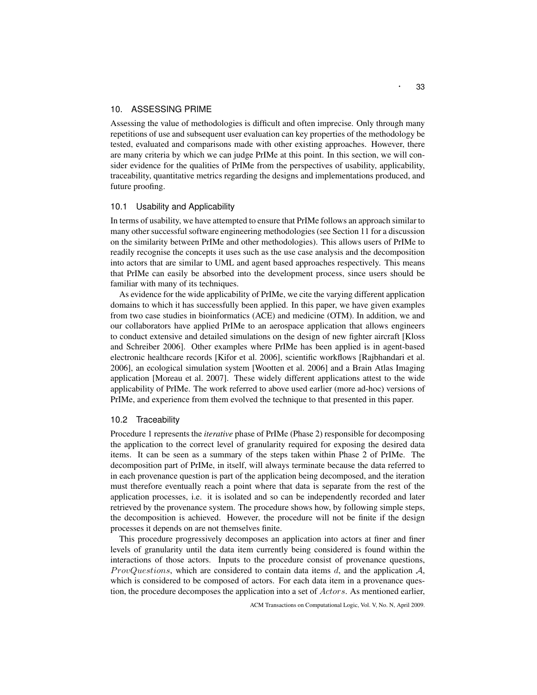### 10. ASSESSING PRIME

Assessing the value of methodologies is difficult and often imprecise. Only through many repetitions of use and subsequent user evaluation can key properties of the methodology be tested, evaluated and comparisons made with other existing approaches. However, there are many criteria by which we can judge PrIMe at this point. In this section, we will consider evidence for the qualities of PrIMe from the perspectives of usability, applicability, traceability, quantitative metrics regarding the designs and implementations produced, and future proofing.

## 10.1 Usability and Applicability

In terms of usability, we have attempted to ensure that PrIMe follows an approach similar to many other successful software engineering methodologies (see Section 11 for a discussion on the similarity between PrIMe and other methodologies). This allows users of PrIMe to readily recognise the concepts it uses such as the use case analysis and the decomposition into actors that are similar to UML and agent based approaches respectively. This means that PrIMe can easily be absorbed into the development process, since users should be familiar with many of its techniques.

As evidence for the wide applicability of PrIMe, we cite the varying different application domains to which it has successfully been applied. In this paper, we have given examples from two case studies in bioinformatics (ACE) and medicine (OTM). In addition, we and our collaborators have applied PrIMe to an aerospace application that allows engineers to conduct extensive and detailed simulations on the design of new fighter aircraft [Kloss and Schreiber 2006]. Other examples where PrIMe has been applied is in agent-based electronic healthcare records [Kifor et al. 2006], scientific workflows [Rajbhandari et al. 2006], an ecological simulation system [Wootten et al. 2006] and a Brain Atlas Imaging application [Moreau et al. 2007]. These widely different applications attest to the wide applicability of PrIMe. The work referred to above used earlier (more ad-hoc) versions of PrIMe, and experience from them evolved the technique to that presented in this paper.

## 10.2 Traceability

Procedure 1 represents the *iterative* phase of PrIMe (Phase 2) responsible for decomposing the application to the correct level of granularity required for exposing the desired data items. It can be seen as a summary of the steps taken within Phase 2 of PrIMe. The decomposition part of PrIMe, in itself, will always terminate because the data referred to in each provenance question is part of the application being decomposed, and the iteration must therefore eventually reach a point where that data is separate from the rest of the application processes, i.e. it is isolated and so can be independently recorded and later retrieved by the provenance system. The procedure shows how, by following simple steps, the decomposition is achieved. However, the procedure will not be finite if the design processes it depends on are not themselves finite.

This procedure progressively decomposes an application into actors at finer and finer levels of granularity until the data item currently being considered is found within the interactions of those actors. Inputs to the procedure consist of provenance questions, *ProvQuestions*, which are considered to contain data items d, and the application  $A$ , which is considered to be composed of actors. For each data item in a provenance question, the procedure decomposes the application into a set of Actors. As mentioned earlier,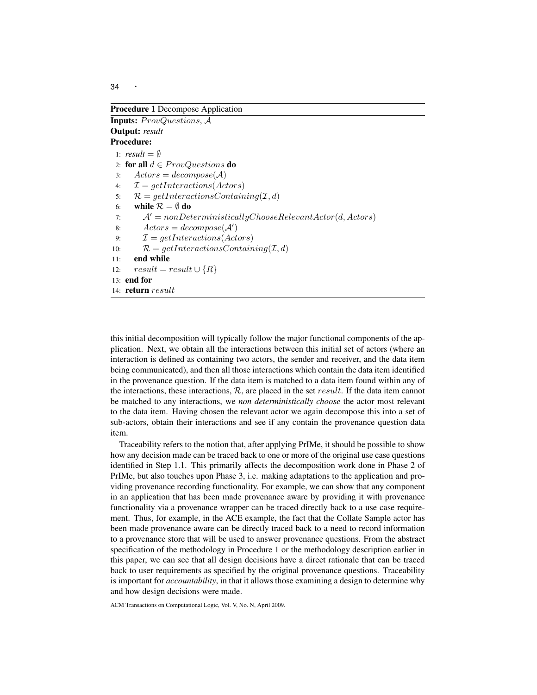Procedure 1 Decompose Application

Inputs: ProvQuestions, A Output: *result* Procedure: 1:  $result = \emptyset$ 2: for all  $d \in ProvQuestions$  do 3:  $\text{Actors} = \text{decompose}(\mathcal{A})$ 4:  $\mathcal{I} = getInteractions(Actors)$ 5:  $\mathcal{R} = getInteractionsContining(\mathcal{I}, d)$ 6: while  $\mathcal{R} = \emptyset$  do 7:  $A' = nonDeterministically Choose RelevantActor(d, Actors)$ 8:  $\qquad \qquad Actors = decompose(\mathcal{A}')$ 9:  $\mathcal{I} = getInteractions(Actors)$ 10:  $\mathcal{R} = getInteractionsContining(\mathcal{I}, d)$ 11: end while 12:  $result = result \cup \{R\}$ 13: end for 14: return result

this initial decomposition will typically follow the major functional components of the application. Next, we obtain all the interactions between this initial set of actors (where an interaction is defined as containing two actors, the sender and receiver, and the data item being communicated), and then all those interactions which contain the data item identified in the provenance question. If the data item is matched to a data item found within any of the interactions, these interactions,  $R$ , are placed in the set result. If the data item cannot be matched to any interactions, we *non deterministically choose* the actor most relevant to the data item. Having chosen the relevant actor we again decompose this into a set of sub-actors, obtain their interactions and see if any contain the provenance question data item.

Traceability refers to the notion that, after applying PrIMe, it should be possible to show how any decision made can be traced back to one or more of the original use case questions identified in Step 1.1. This primarily affects the decomposition work done in Phase 2 of PrIMe, but also touches upon Phase 3, i.e. making adaptations to the application and providing provenance recording functionality. For example, we can show that any component in an application that has been made provenance aware by providing it with provenance functionality via a provenance wrapper can be traced directly back to a use case requirement. Thus, for example, in the ACE example, the fact that the Collate Sample actor has been made provenance aware can be directly traced back to a need to record information to a provenance store that will be used to answer provenance questions. From the abstract specification of the methodology in Procedure 1 or the methodology description earlier in this paper, we can see that all design decisions have a direct rationale that can be traced back to user requirements as specified by the original provenance questions. Traceability is important for *accountability*, in that it allows those examining a design to determine why and how design decisions were made.

ACM Transactions on Computational Logic, Vol. V, No. N, April 2009.

 $34$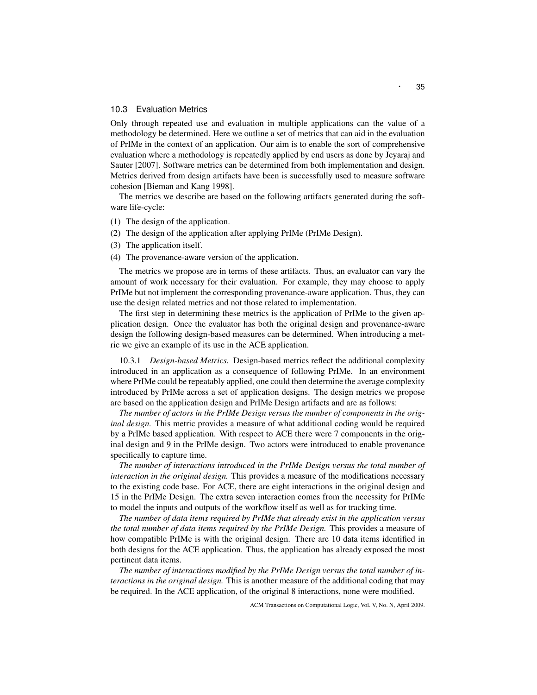#### 10.3 Evaluation Metrics

Only through repeated use and evaluation in multiple applications can the value of a methodology be determined. Here we outline a set of metrics that can aid in the evaluation of PrIMe in the context of an application. Our aim is to enable the sort of comprehensive evaluation where a methodology is repeatedly applied by end users as done by Jeyaraj and Sauter [2007]. Software metrics can be determined from both implementation and design. Metrics derived from design artifacts have been is successfully used to measure software cohesion [Bieman and Kang 1998].

The metrics we describe are based on the following artifacts generated during the software life-cycle:

- (1) The design of the application.
- (2) The design of the application after applying PrIMe (PrIMe Design).
- (3) The application itself.
- (4) The provenance-aware version of the application.

The metrics we propose are in terms of these artifacts. Thus, an evaluator can vary the amount of work necessary for their evaluation. For example, they may choose to apply PrIMe but not implement the corresponding provenance-aware application. Thus, they can use the design related metrics and not those related to implementation.

The first step in determining these metrics is the application of PrIMe to the given application design. Once the evaluator has both the original design and provenance-aware design the following design-based measures can be determined. When introducing a metric we give an example of its use in the ACE application.

10.3.1 *Design-based Metrics.* Design-based metrics reflect the additional complexity introduced in an application as a consequence of following PrIMe. In an environment where PrIMe could be repeatably applied, one could then determine the average complexity introduced by PrIMe across a set of application designs. The design metrics we propose are based on the application design and PrIMe Design artifacts and are as follows:

*The number of actors in the PrIMe Design versus the number of components in the original design.* This metric provides a measure of what additional coding would be required by a PrIMe based application. With respect to ACE there were 7 components in the original design and 9 in the PrIMe design. Two actors were introduced to enable provenance specifically to capture time.

*The number of interactions introduced in the PrIMe Design versus the total number of interaction in the original design.* This provides a measure of the modifications necessary to the existing code base. For ACE, there are eight interactions in the original design and 15 in the PrIMe Design. The extra seven interaction comes from the necessity for PrIMe to model the inputs and outputs of the workflow itself as well as for tracking time.

*The number of data items required by PrIMe that already exist in the application versus the total number of data items required by the PrIMe Design.* This provides a measure of how compatible PrIMe is with the original design. There are 10 data items identified in both designs for the ACE application. Thus, the application has already exposed the most pertinent data items.

*The number of interactions modified by the PrIMe Design versus the total number of interactions in the original design.* This is another measure of the additional coding that may be required. In the ACE application, of the original 8 interactions, none were modified.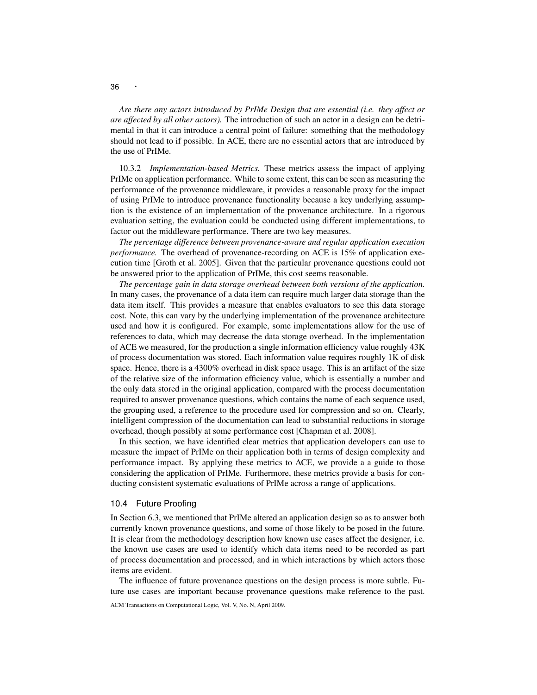*Are there any actors introduced by PrIMe Design that are essential (i.e. they affect or are affected by all other actors).* The introduction of such an actor in a design can be detrimental in that it can introduce a central point of failure: something that the methodology should not lead to if possible. In ACE, there are no essential actors that are introduced by the use of PrIMe.

10.3.2 *Implementation-based Metrics.* These metrics assess the impact of applying PrIMe on application performance. While to some extent, this can be seen as measuring the performance of the provenance middleware, it provides a reasonable proxy for the impact of using PrIMe to introduce provenance functionality because a key underlying assumption is the existence of an implementation of the provenance architecture. In a rigorous evaluation setting, the evaluation could be conducted using different implementations, to factor out the middleware performance. There are two key measures.

*The percentage difference between provenance-aware and regular application execution performance.* The overhead of provenance-recording on ACE is 15% of application execution time [Groth et al. 2005]. Given that the particular provenance questions could not be answered prior to the application of PrIMe, this cost seems reasonable.

*The percentage gain in data storage overhead between both versions of the application.* In many cases, the provenance of a data item can require much larger data storage than the data item itself. This provides a measure that enables evaluators to see this data storage cost. Note, this can vary by the underlying implementation of the provenance architecture used and how it is configured. For example, some implementations allow for the use of references to data, which may decrease the data storage overhead. In the implementation of ACE we measured, for the production a single information efficiency value roughly 43K of process documentation was stored. Each information value requires roughly 1K of disk space. Hence, there is a 4300% overhead in disk space usage. This is an artifact of the size of the relative size of the information efficiency value, which is essentially a number and the only data stored in the original application, compared with the process documentation required to answer provenance questions, which contains the name of each sequence used, the grouping used, a reference to the procedure used for compression and so on. Clearly, intelligent compression of the documentation can lead to substantial reductions in storage overhead, though possibly at some performance cost [Chapman et al. 2008].

In this section, we have identified clear metrics that application developers can use to measure the impact of PrIMe on their application both in terms of design complexity and performance impact. By applying these metrics to ACE, we provide a a guide to those considering the application of PrIMe. Furthermore, these metrics provide a basis for conducting consistent systematic evaluations of PrIMe across a range of applications.

# 10.4 Future Proofing

In Section 6.3, we mentioned that PrIMe altered an application design so as to answer both currently known provenance questions, and some of those likely to be posed in the future. It is clear from the methodology description how known use cases affect the designer, i.e. the known use cases are used to identify which data items need to be recorded as part of process documentation and processed, and in which interactions by which actors those items are evident.

The influence of future provenance questions on the design process is more subtle. Future use cases are important because provenance questions make reference to the past.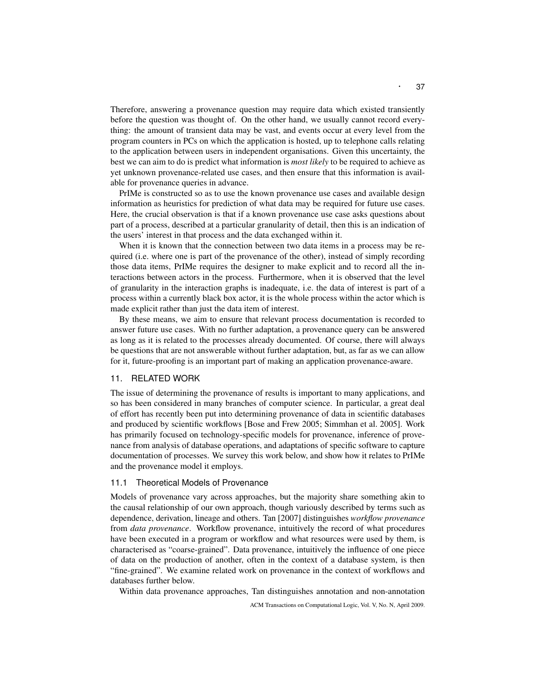Therefore, answering a provenance question may require data which existed transiently before the question was thought of. On the other hand, we usually cannot record everything: the amount of transient data may be vast, and events occur at every level from the program counters in PCs on which the application is hosted, up to telephone calls relating to the application between users in independent organisations. Given this uncertainty, the best we can aim to do is predict what information is *most likely* to be required to achieve as yet unknown provenance-related use cases, and then ensure that this information is available for provenance queries in advance.

PrIMe is constructed so as to use the known provenance use cases and available design information as heuristics for prediction of what data may be required for future use cases. Here, the crucial observation is that if a known provenance use case asks questions about part of a process, described at a particular granularity of detail, then this is an indication of the users' interest in that process and the data exchanged within it.

When it is known that the connection between two data items in a process may be required (i.e. where one is part of the provenance of the other), instead of simply recording those data items, PrIMe requires the designer to make explicit and to record all the interactions between actors in the process. Furthermore, when it is observed that the level of granularity in the interaction graphs is inadequate, i.e. the data of interest is part of a process within a currently black box actor, it is the whole process within the actor which is made explicit rather than just the data item of interest.

By these means, we aim to ensure that relevant process documentation is recorded to answer future use cases. With no further adaptation, a provenance query can be answered as long as it is related to the processes already documented. Of course, there will always be questions that are not answerable without further adaptation, but, as far as we can allow for it, future-proofing is an important part of making an application provenance-aware.

# 11. RELATED WORK

The issue of determining the provenance of results is important to many applications, and so has been considered in many branches of computer science. In particular, a great deal of effort has recently been put into determining provenance of data in scientific databases and produced by scientific workflows [Bose and Frew 2005; Simmhan et al. 2005]. Work has primarily focused on technology-specific models for provenance, inference of provenance from analysis of database operations, and adaptations of specific software to capture documentation of processes. We survey this work below, and show how it relates to PrIMe and the provenance model it employs.

# 11.1 Theoretical Models of Provenance

Models of provenance vary across approaches, but the majority share something akin to the causal relationship of our own approach, though variously described by terms such as dependence, derivation, lineage and others. Tan [2007] distinguishes *workflow provenance* from *data provenance*. Workflow provenance, intuitively the record of what procedures have been executed in a program or workflow and what resources were used by them, is characterised as "coarse-grained". Data provenance, intuitively the influence of one piece of data on the production of another, often in the context of a database system, is then "fine-grained". We examine related work on provenance in the context of workflows and databases further below.

Within data provenance approaches, Tan distinguishes annotation and non-annotation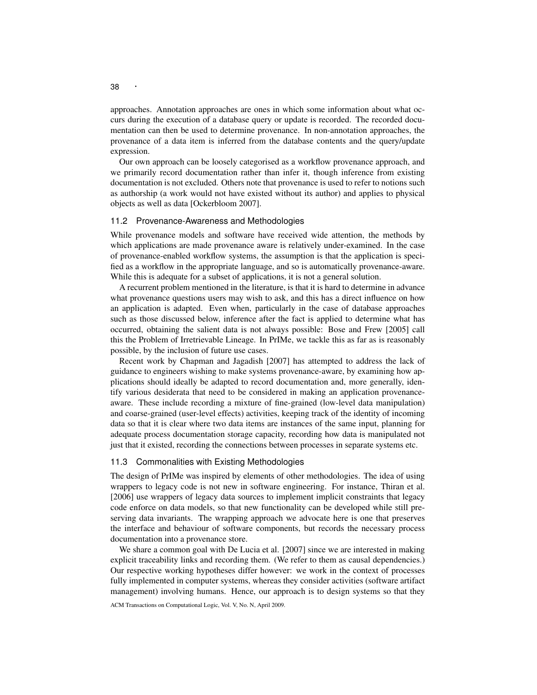approaches. Annotation approaches are ones in which some information about what occurs during the execution of a database query or update is recorded. The recorded documentation can then be used to determine provenance. In non-annotation approaches, the provenance of a data item is inferred from the database contents and the query/update expression.

Our own approach can be loosely categorised as a workflow provenance approach, and we primarily record documentation rather than infer it, though inference from existing documentation is not excluded. Others note that provenance is used to refer to notions such as authorship (a work would not have existed without its author) and applies to physical objects as well as data [Ockerbloom 2007].

# 11.2 Provenance-Awareness and Methodologies

While provenance models and software have received wide attention, the methods by which applications are made provenance aware is relatively under-examined. In the case of provenance-enabled workflow systems, the assumption is that the application is specified as a workflow in the appropriate language, and so is automatically provenance-aware. While this is adequate for a subset of applications, it is not a general solution.

A recurrent problem mentioned in the literature, is that it is hard to determine in advance what provenance questions users may wish to ask, and this has a direct influence on how an application is adapted. Even when, particularly in the case of database approaches such as those discussed below, inference after the fact is applied to determine what has occurred, obtaining the salient data is not always possible: Bose and Frew [2005] call this the Problem of Irretrievable Lineage. In PrIMe, we tackle this as far as is reasonably possible, by the inclusion of future use cases.

Recent work by Chapman and Jagadish [2007] has attempted to address the lack of guidance to engineers wishing to make systems provenance-aware, by examining how applications should ideally be adapted to record documentation and, more generally, identify various desiderata that need to be considered in making an application provenanceaware. These include recording a mixture of fine-grained (low-level data manipulation) and coarse-grained (user-level effects) activities, keeping track of the identity of incoming data so that it is clear where two data items are instances of the same input, planning for adequate process documentation storage capacity, recording how data is manipulated not just that it existed, recording the connections between processes in separate systems etc.

## 11.3 Commonalities with Existing Methodologies

The design of PrIMe was inspired by elements of other methodologies. The idea of using wrappers to legacy code is not new in software engineering. For instance, Thiran et al. [2006] use wrappers of legacy data sources to implement implicit constraints that legacy code enforce on data models, so that new functionality can be developed while still preserving data invariants. The wrapping approach we advocate here is one that preserves the interface and behaviour of software components, but records the necessary process documentation into a provenance store.

We share a common goal with De Lucia et al. [2007] since we are interested in making explicit traceability links and recording them. (We refer to them as causal dependencies.) Our respective working hypotheses differ however: we work in the context of processes fully implemented in computer systems, whereas they consider activities (software artifact management) involving humans. Hence, our approach is to design systems so that they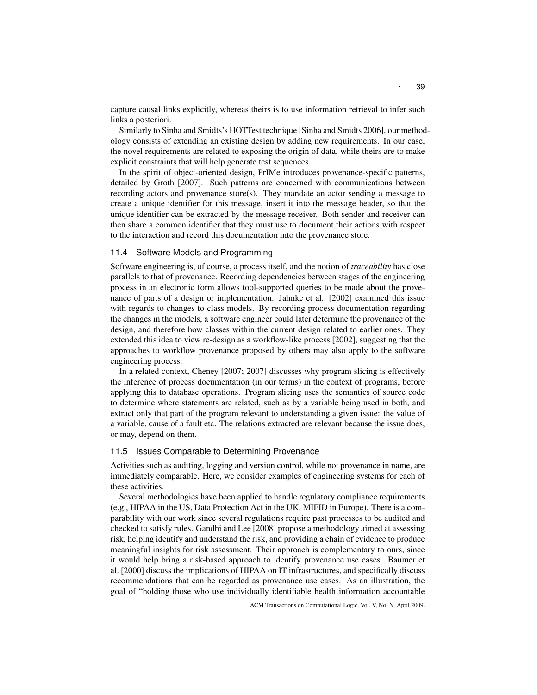capture causal links explicitly, whereas theirs is to use information retrieval to infer such links a posteriori.

Similarly to Sinha and Smidts's HOTTest technique [Sinha and Smidts 2006], our methodology consists of extending an existing design by adding new requirements. In our case, the novel requirements are related to exposing the origin of data, while theirs are to make explicit constraints that will help generate test sequences.

In the spirit of object-oriented design, PrIMe introduces provenance-specific patterns, detailed by Groth [2007]. Such patterns are concerned with communications between recording actors and provenance store(s). They mandate an actor sending a message to create a unique identifier for this message, insert it into the message header, so that the unique identifier can be extracted by the message receiver. Both sender and receiver can then share a common identifier that they must use to document their actions with respect to the interaction and record this documentation into the provenance store.

# 11.4 Software Models and Programming

Software engineering is, of course, a process itself, and the notion of *traceability* has close parallels to that of provenance. Recording dependencies between stages of the engineering process in an electronic form allows tool-supported queries to be made about the provenance of parts of a design or implementation. Jahnke et al. [2002] examined this issue with regards to changes to class models. By recording process documentation regarding the changes in the models, a software engineer could later determine the provenance of the design, and therefore how classes within the current design related to earlier ones. They extended this idea to view re-design as a workflow-like process [2002], suggesting that the approaches to workflow provenance proposed by others may also apply to the software engineering process.

In a related context, Cheney [2007; 2007] discusses why program slicing is effectively the inference of process documentation (in our terms) in the context of programs, before applying this to database operations. Program slicing uses the semantics of source code to determine where statements are related, such as by a variable being used in both, and extract only that part of the program relevant to understanding a given issue: the value of a variable, cause of a fault etc. The relations extracted are relevant because the issue does, or may, depend on them.

# 11.5 Issues Comparable to Determining Provenance

Activities such as auditing, logging and version control, while not provenance in name, are immediately comparable. Here, we consider examples of engineering systems for each of these activities.

Several methodologies have been applied to handle regulatory compliance requirements (e.g., HIPAA in the US, Data Protection Act in the UK, MIFID in Europe). There is a comparability with our work since several regulations require past processes to be audited and checked to satisfy rules. Gandhi and Lee [2008] propose a methodology aimed at assessing risk, helping identify and understand the risk, and providing a chain of evidence to produce meaningful insights for risk assessment. Their approach is complementary to ours, since it would help bring a risk-based approach to identify provenance use cases. Baumer et al. [2000] discuss the implications of HIPAA on IT infrastructures, and specifically discuss recommendations that can be regarded as provenance use cases. As an illustration, the goal of "holding those who use individually identifiable health information accountable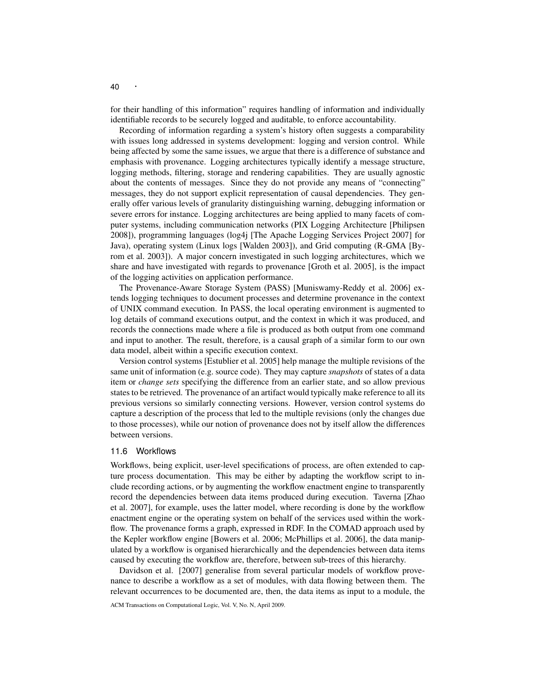for their handling of this information" requires handling of information and individually identifiable records to be securely logged and auditable, to enforce accountability.

Recording of information regarding a system's history often suggests a comparability with issues long addressed in systems development: logging and version control. While being affected by some the same issues, we argue that there is a difference of substance and emphasis with provenance. Logging architectures typically identify a message structure, logging methods, filtering, storage and rendering capabilities. They are usually agnostic about the contents of messages. Since they do not provide any means of "connecting" messages, they do not support explicit representation of causal dependencies. They generally offer various levels of granularity distinguishing warning, debugging information or severe errors for instance. Logging architectures are being applied to many facets of computer systems, including communication networks (PIX Logging Architecture [Philipsen 2008]), programming languages (log4j [The Apache Logging Services Project 2007] for Java), operating system (Linux logs [Walden 2003]), and Grid computing (R-GMA [Byrom et al. 2003]). A major concern investigated in such logging architectures, which we share and have investigated with regards to provenance [Groth et al. 2005], is the impact of the logging activities on application performance.

The Provenance-Aware Storage System (PASS) [Muniswamy-Reddy et al. 2006] extends logging techniques to document processes and determine provenance in the context of UNIX command execution. In PASS, the local operating environment is augmented to log details of command executions output, and the context in which it was produced, and records the connections made where a file is produced as both output from one command and input to another. The result, therefore, is a causal graph of a similar form to our own data model, albeit within a specific execution context.

Version control systems [Estublier et al. 2005] help manage the multiple revisions of the same unit of information (e.g. source code). They may capture *snapshots* of states of a data item or *change sets* specifying the difference from an earlier state, and so allow previous states to be retrieved. The provenance of an artifact would typically make reference to all its previous versions so similarly connecting versions. However, version control systems do capture a description of the process that led to the multiple revisions (only the changes due to those processes), while our notion of provenance does not by itself allow the differences between versions.

# 11.6 Workflows

Workflows, being explicit, user-level specifications of process, are often extended to capture process documentation. This may be either by adapting the workflow script to include recording actions, or by augmenting the workflow enactment engine to transparently record the dependencies between data items produced during execution. Taverna [Zhao et al. 2007], for example, uses the latter model, where recording is done by the workflow enactment engine or the operating system on behalf of the services used within the workflow. The provenance forms a graph, expressed in RDF. In the COMAD approach used by the Kepler workflow engine [Bowers et al. 2006; McPhillips et al. 2006], the data manipulated by a workflow is organised hierarchically and the dependencies between data items caused by executing the workflow are, therefore, between sub-trees of this hierarchy.

Davidson et al. [2007] generalise from several particular models of workflow provenance to describe a workflow as a set of modules, with data flowing between them. The relevant occurrences to be documented are, then, the data items as input to a module, the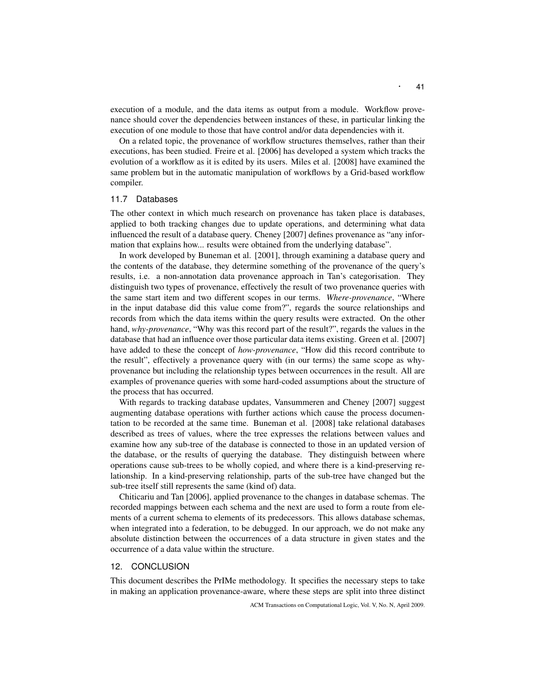execution of a module, and the data items as output from a module. Workflow provenance should cover the dependencies between instances of these, in particular linking the execution of one module to those that have control and/or data dependencies with it.

On a related topic, the provenance of workflow structures themselves, rather than their executions, has been studied. Freire et al. [2006] has developed a system which tracks the evolution of a workflow as it is edited by its users. Miles et al. [2008] have examined the same problem but in the automatic manipulation of workflows by a Grid-based workflow compiler.

#### 11.7 Databases

The other context in which much research on provenance has taken place is databases, applied to both tracking changes due to update operations, and determining what data influenced the result of a database query. Cheney [2007] defines provenance as "any information that explains how... results were obtained from the underlying database".

In work developed by Buneman et al. [2001], through examining a database query and the contents of the database, they determine something of the provenance of the query's results, i.e. a non-annotation data provenance approach in Tan's categorisation. They distinguish two types of provenance, effectively the result of two provenance queries with the same start item and two different scopes in our terms. *Where-provenance*, "Where in the input database did this value come from?", regards the source relationships and records from which the data items within the query results were extracted. On the other hand, *why-provenance*, "Why was this record part of the result?", regards the values in the database that had an influence over those particular data items existing. Green et al. [2007] have added to these the concept of *how-provenance*, "How did this record contribute to the result", effectively a provenance query with (in our terms) the same scope as whyprovenance but including the relationship types between occurrences in the result. All are examples of provenance queries with some hard-coded assumptions about the structure of the process that has occurred.

With regards to tracking database updates, Vansummeren and Cheney [2007] suggest augmenting database operations with further actions which cause the process documentation to be recorded at the same time. Buneman et al. [2008] take relational databases described as trees of values, where the tree expresses the relations between values and examine how any sub-tree of the database is connected to those in an updated version of the database, or the results of querying the database. They distinguish between where operations cause sub-trees to be wholly copied, and where there is a kind-preserving relationship. In a kind-preserving relationship, parts of the sub-tree have changed but the sub-tree itself still represents the same (kind of) data.

Chiticariu and Tan [2006], applied provenance to the changes in database schemas. The recorded mappings between each schema and the next are used to form a route from elements of a current schema to elements of its predecessors. This allows database schemas, when integrated into a federation, to be debugged. In our approach, we do not make any absolute distinction between the occurrences of a data structure in given states and the occurrence of a data value within the structure.

# 12. CONCLUSION

This document describes the PrIMe methodology. It specifies the necessary steps to take in making an application provenance-aware, where these steps are split into three distinct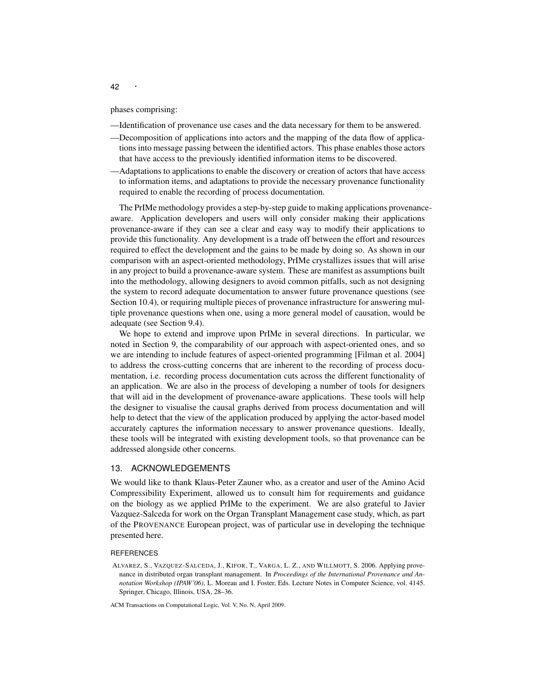phases comprising:

- —Identification of provenance use cases and the data necessary for them to be answered.
- —Decomposition of applications into actors and the mapping of the data flow of applications into message passing between the identified actors. This phase enables those actors that have access to the previously identified information items to be discovered.
- —Adaptations to applications to enable the discovery or creation of actors that have access to information items, and adaptations to provide the necessary provenance functionality required to enable the recording of process documentation.

The PrIMe methodology provides a step-by-step guide to making applications provenanceaware. Application developers and users will only consider making their applications provenance-aware if they can see a clear and easy way to modify their applications to provide this functionality. Any development is a trade off between the effort and resources required to effect the development and the gains to be made by doing so. As shown in our comparison with an aspect-oriented methodology, PrIMe crystallizes issues that will arise in any project to build a provenance-aware system. These are manifest as assumptions built into the methodology, allowing designers to avoid common pitfalls, such as not designing the system to record adequate documentation to answer future provenance questions (see Section 10.4), or requiring multiple pieces of provenance infrastructure for answering multiple provenance questions when one, using a more general model of causation, would be adequate (see Section 9.4).

We hope to extend and improve upon PrIMe in several directions. In particular, we noted in Section 9, the comparability of our approach with aspect-oriented ones, and so we are intending to include features of aspect-oriented programming [Filman et al. 2004] to address the cross-cutting concerns that are inherent to the recording of process documentation, i.e. recording process documentation cuts across the different functionality of an application. We are also in the process of developing a number of tools for designers that will aid in the development of provenance-aware applications. These tools will help the designer to visualise the causal graphs derived from process documentation and will help to detect that the view of the application produced by applying the actor-based model accurately captures the information necessary to answer provenance questions. Ideally, these tools will be integrated with existing development tools, so that provenance can be addressed alongside other concerns.

# 13. ACKNOWLEDGEMENTS

We would like to thank Klaus-Peter Zauner who, as a creator and user of the Amino Acid Compressibility Experiment, allowed us to consult him for requirements and guidance on the biology as we applied PrIMe to the experiment. We are also grateful to Javier Vazquez-Salceda for work on the Organ Transplant Management case study, which, as part of the PROVENANCE European project, was of particular use in developing the technique presented here.

#### **REFERENCES**

ALVAREZ, S., VAZQUEZ-SALCEDA, J., KIFOR, T., VARGA, L. Z., AND WILLMOTT, S. 2006. Applying provenance in distributed organ transplant management. In *Proceedings of the International Provenance and Annotation Workshop (IPAW'06)*, L. Moreau and I. Foster, Eds. Lecture Notes in Computer Science, vol. 4145. Springer, Chicago, Illinois, USA, 28–36.

ACM Transactions on Computational Logic, Vol. V, No. N, April 2009.

42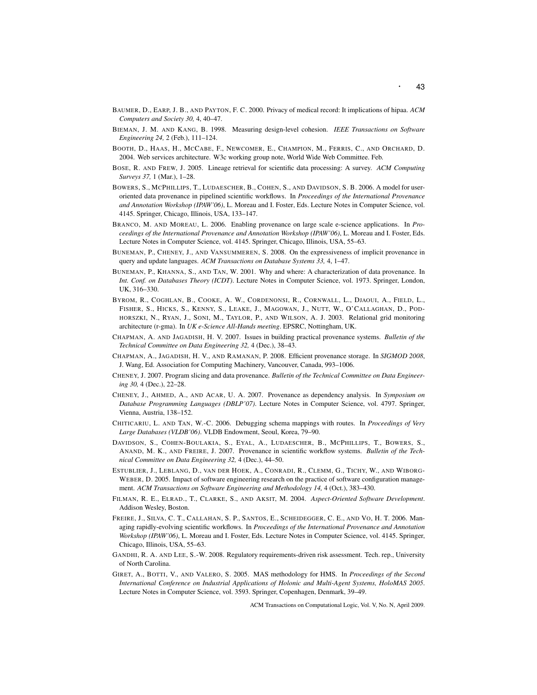- BAUMER, D., EARP, J. B., AND PAYTON, F. C. 2000. Privacy of medical record: It implications of hipaa. *ACM Computers and Society 30,* 4, 40–47.
- BIEMAN, J. M. AND KANG, B. 1998. Measuring design-level cohesion. *IEEE Transactions on Software Engineering 24,* 2 (Feb.), 111–124.
- BOOTH, D., HAAS, H., MCCABE, F., NEWCOMER, E., CHAMPION, M., FERRIS, C., AND ORCHARD, D. 2004. Web services architecture. W3c working group note, World Wide Web Committee. Feb.
- BOSE, R. AND FREW, J. 2005. Lineage retrieval for scientific data processing: A survey. *ACM Computing Surveys 37,* 1 (Mar.), 1–28.
- BOWERS, S., MCPHILLIPS, T., LUDAESCHER, B., COHEN, S., AND DAVIDSON, S. B. 2006. A model for useroriented data provenance in pipelined scientific workflows. In *Proceedings of the International Provenance and Annotation Workshop (IPAW'06)*, L. Moreau and I. Foster, Eds. Lecture Notes in Computer Science, vol. 4145. Springer, Chicago, Illinois, USA, 133–147.
- BRANCO, M. AND MOREAU, L. 2006. Enabling provenance on large scale e-science applications. In *Proceedings of the International Provenance and Annotation Workshop (IPAW'06)*, L. Moreau and I. Foster, Eds. Lecture Notes in Computer Science, vol. 4145. Springer, Chicago, Illinois, USA, 55–63.
- BUNEMAN, P., CHENEY, J., AND VANSUMMEREN, S. 2008. On the expressiveness of implicit provenance in query and update languages. *ACM Transactions on Database Systems 33,* 4, 1–47.
- BUNEMAN, P., KHANNA, S., AND TAN, W. 2001. Why and where: A characterization of data provenance. In *Int. Conf. on Databases Theory (ICDT)*. Lecture Notes in Computer Science, vol. 1973. Springer, London, UK, 316–330.
- BYROM, R., COGHLAN, B., COOKE, A. W., CORDENONSI, R., CORNWALL, L., DJAOUI, A., FIELD, L., FISHER, S., HICKS, S., KENNY, S., LEAKE, J., MAGOWAN, J., NUTT, W., O'CALLAGHAN, D., POD-HORSZKI, N., RYAN, J., SONI, M., TAYLOR, P., AND WILSON, A. J. 2003. Relational grid monitoring architecture (r-gma). In *UK e-Science All-Hands meeting*. EPSRC, Nottingham, UK.
- CHAPMAN, A. AND JAGADISH, H. V. 2007. Issues in building practical provenance systems. *Bulletin of the Technical Committee on Data Engineering 32,* 4 (Dec.), 38–43.
- CHAPMAN, A., JAGADISH, H. V., AND RAMANAN, P. 2008. Efficient provenance storage. In *SIGMOD 2008*, J. Wang, Ed. Association for Computing Machinery, Vancouver, Canada, 993–1006.
- CHENEY, J. 2007. Program slicing and data provenance. *Bulletin of the Technical Committee on Data Engineering 30,* 4 (Dec.), 22–28.
- CHENEY, J., AHMED, A., AND ACAR, U. A. 2007. Provenance as dependency analysis. In *Symposium on Database Programming Languages (DBLP'07)*. Lecture Notes in Computer Science, vol. 4797. Springer, Vienna, Austria, 138–152.
- CHITICARIU, L. AND TAN, W.-C. 2006. Debugging schema mappings with routes. In *Proceedings of Very Large Databases (VLDB'06)*. VLDB Endowment, Seoul, Korea, 79–90.
- DAVIDSON, S., COHEN-BOULAKIA, S., EYAL, A., LUDAESCHER, B., MCPHILLIPS, T., BOWERS, S., ANAND, M. K., AND FREIRE, J. 2007. Provenance in scientific workflow systems. *Bulletin of the Technical Committee on Data Engineering 32,* 4 (Dec.), 44–50.
- ESTUBLIER, J., LEBLANG, D., VAN DER HOEK, A., CONRADI, R., CLEMM, G., TICHY, W., AND WIBORG-WEBER, D. 2005. Impact of software engineering research on the practice of software configuration management. *ACM Transactions on Software Engineering and Methodology 14,* 4 (Oct.), 383–430.
- FILMAN, R. E., ELRAD., T., CLARKE, S., AND AKSIT, M. 2004. *Aspect-Oriented Software Development*. Addison Wesley, Boston.
- FREIRE, J., SILVA, C. T., CALLAHAN, S. P., SANTOS, E., SCHEIDEGGER, C. E., AND VO, H. T. 2006. Managing rapidly-evolving scientific workflows. In *Proceedings of the International Provenance and Annotation Workshop (IPAW'06)*, L. Moreau and I. Foster, Eds. Lecture Notes in Computer Science, vol. 4145. Springer, Chicago, Illinois, USA, 55–63.
- GANDHI, R. A. AND LEE, S.-W. 2008. Regulatory requirements-driven risk assessment. Tech. rep., University of North Carolina.
- GIRET, A., BOTTI, V., AND VALERO, S. 2005. MAS methodology for HMS. In *Proceedings of the Second International Conference on Industrial Applications of Holonic and Multi-Agent Systems, HoloMAS 2005*. Lecture Notes in Computer Science, vol. 3593. Springer, Copenhagen, Denmark, 39–49.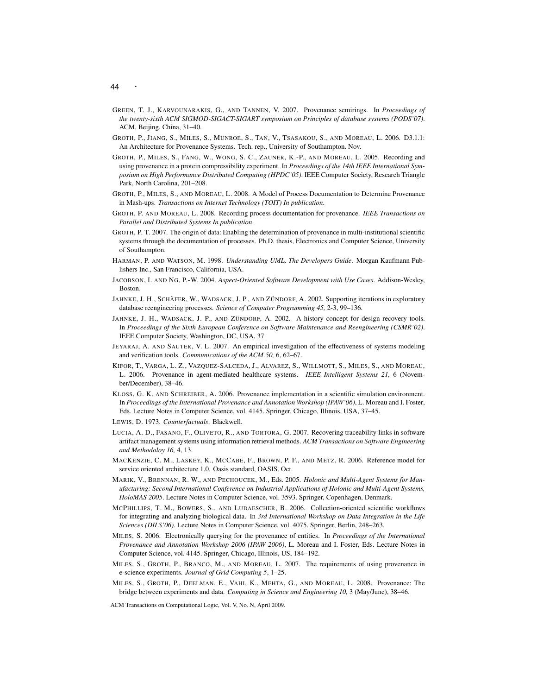- GREEN, T. J., KARVOUNARAKIS, G., AND TANNEN, V. 2007. Provenance semirings. In *Proceedings of the twenty-sixth ACM SIGMOD-SIGACT-SIGART symposium on Principles of database systems (PODS'07)*. ACM, Beijing, China, 31–40.
- GROTH, P., JIANG, S., MILES, S., MUNROE, S., TAN, V., TSASAKOU, S., AND MOREAU, L. 2006. D3.1.1: An Architecture for Provenance Systems. Tech. rep., University of Southampton. Nov.
- GROTH, P., MILES, S., FANG, W., WONG, S. C., ZAUNER, K.-P., AND MOREAU, L. 2005. Recording and using provenance in a protein compressibility experiment. In *Proceedings of the 14th IEEE International Symposium on High Performance Distributed Computing (HPDC'05)*. IEEE Computer Society, Research Triangle Park, North Carolina, 201–208.
- GROTH, P., MILES, S., AND MOREAU, L. 2008. A Model of Process Documentation to Determine Provenance in Mash-ups. *Transactions on Internet Technology (TOIT) In publication*.
- GROTH, P. AND MOREAU, L. 2008. Recording process documentation for provenance. *IEEE Transactions on Parallel and Distributed Systems In publication*.
- GROTH, P. T. 2007. The origin of data: Enabling the determination of provenance in multi-institutional scientific systems through the documentation of processes. Ph.D. thesis, Electronics and Computer Science, University of Southampton.
- HARMAN, P. AND WATSON, M. 1998. *Understanding UML, The Developers Guide*. Morgan Kaufmann Publishers Inc., San Francisco, California, USA.
- JACOBSON, I. AND NG, P.-W. 2004. *Aspect-Oriented Software Development with Use Cases*. Addison-Wesley, Boston.
- JAHNKE, J. H., SCHÄFER, W., WADSACK, J. P., AND ZÜNDORF, A. 2002. Supporting iterations in exploratory database reengineering processes. *Science of Computer Programming 45,* 2-3, 99–136.
- JAHNKE, J. H., WADSACK, J. P., AND ZÜNDORF, A. 2002. A history concept for design recovery tools. In *Proceedings of the Sixth European Conference on Software Maintenance and Reengineering (CSMR'02)*. IEEE Computer Society, Washington, DC, USA, 37.
- JEYARAJ, A. AND SAUTER, V. L. 2007. An empirical investigation of the effectiveness of systems modeling and verification tools. *Communications of the ACM 50,* 6, 62–67.
- KIFOR, T., VARGA, L. Z., VAZQUEZ-SALCEDA, J., ALVAREZ, S., WILLMOTT, S., MILES, S., AND MOREAU, L. 2006. Provenance in agent-mediated healthcare systems. *IEEE Intelligent Systems 21,* 6 (November/December), 38–46.
- KLOSS, G. K. AND SCHREIBER, A. 2006. Provenance implementation in a scientific simulation environment. In *Proceedings of the International Provenance and Annotation Workshop (IPAW'06)*, L. Moreau and I. Foster, Eds. Lecture Notes in Computer Science, vol. 4145. Springer, Chicago, Illinois, USA, 37–45.
- LEWIS, D. 1973. *Counterfactuals*. Blackwell.
- LUCIA, A. D., FASANO, F., OLIVETO, R., AND TORTORA, G. 2007. Recovering traceability links in software artifact management systems using information retrieval methods. *ACM Transactions on Software Engineering and Methodoloy 16,* 4, 13.
- MACKENZIE, C. M., LASKEY, K., MCCABE, F., BROWN, P. F., AND METZ, R. 2006. Reference model for service oriented architecture 1.0. Oasis standard, OASIS. Oct.
- MARIK, V., BRENNAN, R. W., AND PECHOUCEK, M., Eds. 2005. *Holonic and Multi-Agent Systems for Manufacturing: Second International Conference on Industrial Applications of Holonic and Multi-Agent Systems, HoloMAS 2005*. Lecture Notes in Computer Science, vol. 3593. Springer, Copenhagen, Denmark.
- MCPHILLIPS, T. M., BOWERS, S., AND LUDAESCHER, B. 2006. Collection-oriented scientific workflows for integrating and analyzing biological data. In *3rd International Workshop on Data Integration in the Life Sciences (DILS'06)*. Lecture Notes in Computer Science, vol. 4075. Springer, Berlin, 248–263.
- MILES, S. 2006. Electronically querying for the provenance of entities. In *Proceedings of the International Provenance and Annotation Workshop 2006 (IPAW 2006)*, L. Moreau and I. Foster, Eds. Lecture Notes in Computer Science, vol. 4145. Springer, Chicago, Illinois, US, 184–192.
- MILES, S., GROTH, P., BRANCO, M., AND MOREAU, L. 2007. The requirements of using provenance in e-science experiments. *Journal of Grid Computing 5*, 1–25.
- MILES, S., GROTH, P., DEELMAN, E., VAHI, K., MEHTA, G., AND MOREAU, L. 2008. Provenance: The bridge between experiments and data. *Computing in Science and Engineering 10,* 3 (May/June), 38–46.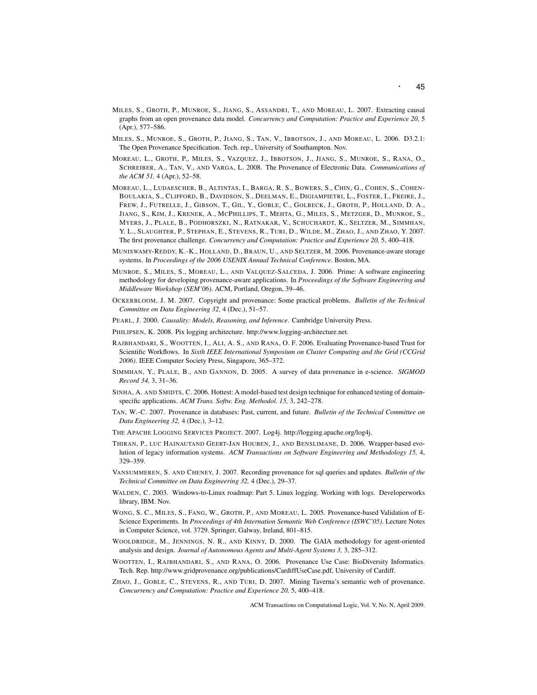- MILES, S., GROTH, P., MUNROE, S., JIANG, S., ASSANDRI, T., AND MOREAU, L. 2007. Extracting causal graphs from an open provenance data model. *Concurrency and Computation: Practice and Experience 20,* 5 (Apr.), 577–586.
- MILES, S., MUNROE, S., GROTH, P., JIANG, S., TAN, V., IBBOTSON, J., AND MOREAU, L. 2006. D3.2.1: The Open Provenance Specification. Tech. rep., University of Southampton. Nov.
- MOREAU, L., GROTH, P., MILES, S., VAZQUEZ, J., IBBOTSON, J., JIANG, S., MUNROE, S., RANA, O., SCHREIBER, A., TAN, V., AND VARGA, L. 2008. The Provenance of Electronic Data. *Communications of the ACM 51,* 4 (Apr.), 52–58.
- MOREAU, L., LUDAESCHER, B., ALTINTAS, I., BARGA, R. S., BOWERS, S., CHIN, G., COHEN, S., COHEN-BOULAKIA, S., CLIFFORD, B., DAVIDSON, S., DEELMAN, E., DIGIAMPIETRI, L., FOSTER, I., FREIRE, J., FREW, J., FUTRELLE, J., GIBSON, T., GIL, Y., GOBLE, C., GOLBECK, J., GROTH, P., HOLLAND, D. A., JIANG, S., KIM, J., KRENEK, A., MCPHILLIPS, T., MEHTA, G., MILES, S., METZGER, D., MUNROE, S., MYERS, J., PLALE, B., PODHORSZKI, N., RATNAKAR, V., SCHUCHARDT, K., SELTZER, M., SIMMHAN, Y. L., SLAUGHTER, P., STEPHAN, E., STEVENS, R., TURI, D., WILDE, M., ZHAO, J., AND ZHAO, Y. 2007. The first provenance challenge. *Concurrency and Computation: Practice and Experience 20,* 5, 400–418.
- MUNISWAMY-REDDY, K.-K., HOLLAND, D., BRAUN, U., AND SELTZER, M. 2006. Provenance-aware storage systems. In *Proceedings of the 2006 USENIX Annual Technical Conference*. Boston, MA.
- MUNROE, S., MILES, S., MOREAU, L., AND VALQUEZ-SALCEDA, J. 2006. Prime: A software engineering methodology for developing provenance-aware applications. In *Proceedings of the Software Engineering and Middleware Workshop (SEM'06)*. ACM, Portland, Oregon, 39–46.
- OCKERBLOOM, J. M. 2007. Copyright and provenance: Some practical problems. *Bulletin of the Technical Committee on Data Engineering 32,* 4 (Dec.), 51–57.
- PEARL, J. 2000. *Causality: Models, Reasoning, and Inference*. Cambridge University Press.
- PHILIPSEN, K. 2008. Pix logging architecture. http://www.logging-architecture.net.
- RAJBHANDARI, S., WOOTTEN, I., ALI, A. S., AND RANA, O. F. 2006. Evaluating Provenance-based Trust for Scientific Workflows. In *Sixth IEEE International Symposium on Cluster Computing and the Grid (CCGrid 2006)*. IEEE Computer Society Press, Singapore, 365–372.
- SIMMHAN, Y., PLALE, B., AND GANNON, D. 2005. A survey of data provenance in e-science. *SIGMOD Record 34,* 3, 31–36.
- SINHA, A. AND SMIDTS, C. 2006. Hottest: A model-based test design technique for enhanced testing of domainspecific applications. *ACM Trans. Softw. Eng. Methodol. 15,* 3, 242–278.
- TAN, W.-C. 2007. Provenance in databases: Past, current, and future. *Bulletin of the Technical Committee on Data Engineering 32,* 4 (Dec.), 3–12.
- THE APACHE LOGGING SERVICES PROJECT. 2007. Log4j. http://logging.apache.org/log4j.
- THIRAN, P., LUC HAINAUTAND GEERT-JAN HOUBEN, J., AND BENSLIMANE, D. 2006. Wrapper-based evolution of legacy information systems. *ACM Transactions on Software Engineering and Methodology 15,* 4, 329–359.
- VANSUMMEREN, S. AND CHENEY, J. 2007. Recording provenance for sql queries and updates. *Bulletin of the Technical Committee on Data Engineering 32,* 4 (Dec.), 29–37.
- WALDEN, C. 2003. Windows-to-Linux roadmap: Part 5. Linux logging. Working with logs. Developerworks library, IBM. Nov.
- WONG, S. C., MILES, S., FANG, W., GROTH, P., AND MOREAU, L. 2005. Provenance-based Validation of E-Science Experiments. In *Proceedings of 4th Internation Semantic Web Conference (ISWC'05)*. Lecture Notes in Computer Science, vol. 3729. Springer, Galway, Ireland, 801–815.
- WOOLDRIDGE, M., JENNINGS, N. R., AND KINNY, D. 2000. The GAIA methodology for agent-oriented analysis and design. *Journal of Autonomous Agents and Multi-Agent Systems 3,* 3, 285–312.
- WOOTTEN, I., RAJBHANDARI, S., AND RANA, O. 2006. Provenance Use Case: BioDiversity Informatics. Tech. Rep. http://www.gridprovenance.org/publications/CardiffUseCase.pdf, University of Cardiff.
- ZHAO, J., GOBLE, C., STEVENS, R., AND TURI, D. 2007. Mining Taverna's semantic web of provenance. *Concurrency and Computation: Practice and Experience 20,* 5, 400–418.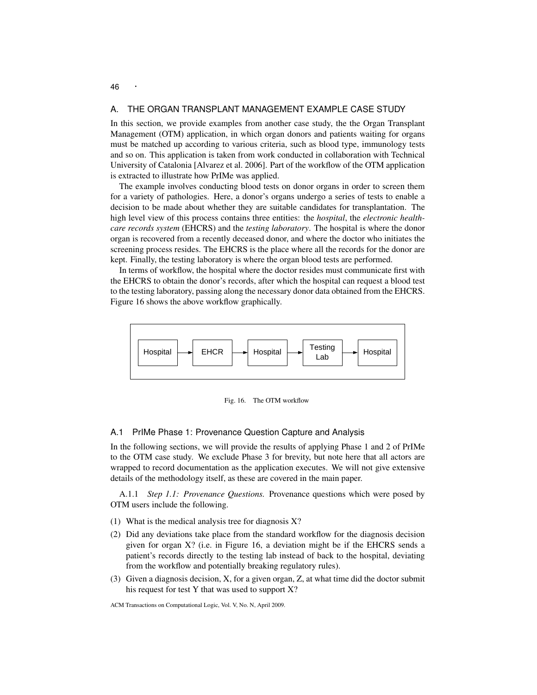# A. THE ORGAN TRANSPLANT MANAGEMENT EXAMPLE CASE STUDY

In this section, we provide examples from another case study, the the Organ Transplant Management (OTM) application, in which organ donors and patients waiting for organs must be matched up according to various criteria, such as blood type, immunology tests and so on. This application is taken from work conducted in collaboration with Technical University of Catalonia [Alvarez et al. 2006]. Part of the workflow of the OTM application is extracted to illustrate how PrIMe was applied.

The example involves conducting blood tests on donor organs in order to screen them for a variety of pathologies. Here, a donor's organs undergo a series of tests to enable a decision to be made about whether they are suitable candidates for transplantation. The high level view of this process contains three entities: the *hospital*, the *electronic healthcare records system* (EHCRS) and the *testing laboratory*. The hospital is where the donor organ is recovered from a recently deceased donor, and where the doctor who initiates the screening process resides. The EHCRS is the place where all the records for the donor are kept. Finally, the testing laboratory is where the organ blood tests are performed.

In terms of workflow, the hospital where the doctor resides must communicate first with the EHCRS to obtain the donor's records, after which the hospital can request a blood test to the testing laboratory, passing along the necessary donor data obtained from the EHCRS. Figure 16 shows the above workflow graphically.



Fig. 16. The OTM workflow

## A.1 PrIMe Phase 1: Provenance Question Capture and Analysis

In the following sections, we will provide the results of applying Phase 1 and 2 of PrIMe to the OTM case study. We exclude Phase 3 for brevity, but note here that all actors are wrapped to record documentation as the application executes. We will not give extensive details of the methodology itself, as these are covered in the main paper.

A.1.1 *Step 1.1: Provenance Questions.* Provenance questions which were posed by OTM users include the following.

- (1) What is the medical analysis tree for diagnosis X?
- (2) Did any deviations take place from the standard workflow for the diagnosis decision given for organ X? (i.e. in Figure 16, a deviation might be if the EHCRS sends a patient's records directly to the testing lab instead of back to the hospital, deviating from the workflow and potentially breaking regulatory rules).
- (3) Given a diagnosis decision, X, for a given organ, Z, at what time did the doctor submit his request for test Y that was used to support X?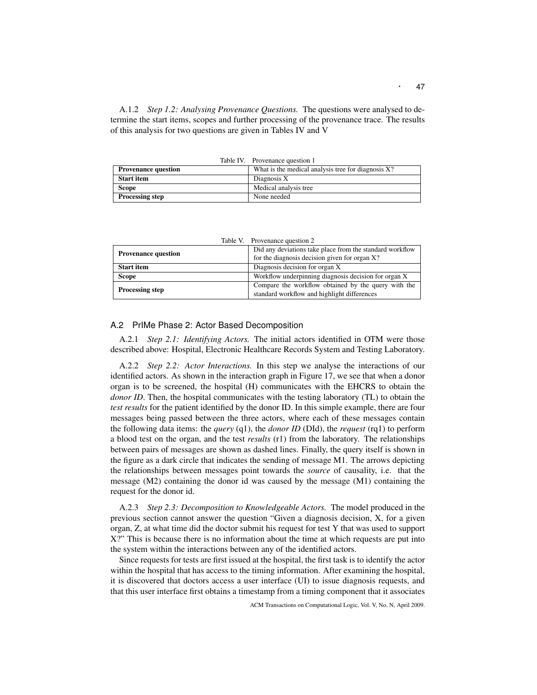A.1.2 *Step 1.2: Analysing Provenance Questions.* The questions were analysed to determine the start items, scopes and further processing of the provenance trace. The results of this analysis for two questions are given in Tables IV and V

|                            | Table IV. Provenance question 1                    |
|----------------------------|----------------------------------------------------|
| <b>Provenance question</b> | What is the medical analysis tree for diagnosis X? |
| <b>Start item</b>          | Diagnosis X                                        |
| <b>Scope</b>               | Medical analysis tree                              |
| <b>Processing step</b>     | None needed                                        |

Table IV. Provenance question 1

|                            | Table V. Provenance question 2                           |
|----------------------------|----------------------------------------------------------|
| <b>Provenance question</b> | Did any deviations take place from the standard workflow |
|                            | for the diagnosis decision given for organ X?            |
| <b>Start item</b>          | Diagnosis decision for organ X                           |
| <b>Scope</b>               | Workflow underpinning diagnosis decision for organ X     |
| <b>Processing step</b>     | Compare the workflow obtained by the query with the      |
|                            | standard workflow and highlight differences              |

# A.2 PrIMe Phase 2: Actor Based Decomposition

A.2.1 *Step 2.1: Identifying Actors.* The initial actors identified in OTM were those described above: Hospital, Electronic Healthcare Records System and Testing Laboratory.

A.2.2 *Step 2.2: Actor Interactions.* In this step we analyse the interactions of our identified actors. As shown in the interaction graph in Figure 17, we see that when a donor organ is to be screened, the hospital (H) communicates with the EHCRS to obtain the *donor ID*. Then, the hospital communicates with the testing laboratory (TL) to obtain the *test results* for the patient identified by the donor ID. In this simple example, there are four messages being passed between the three actors, where each of these messages contain the following data items: the *query* (q1), the *donor ID* (DId), the *request* (rq1) to perform a blood test on the organ, and the test *results* (r1) from the laboratory. The relationships between pairs of messages are shown as dashed lines. Finally, the query itself is shown in the figure as a dark circle that indicates the sending of message M1. The arrows depicting the relationships between messages point towards the *source* of causality, i.e. that the message (M2) containing the donor id was caused by the message (M1) containing the request for the donor id.

A.2.3 *Step 2.3: Decomposition to Knowledgeable Actors.* The model produced in the previous section cannot answer the question "Given a diagnosis decision, X, for a given organ, Z, at what time did the doctor submit his request for test Y that was used to support X?" This is because there is no information about the time at which requests are put into the system within the interactions between any of the identified actors.

Since requests for tests are first issued at the hospital, the first task is to identify the actor within the hospital that has access to the timing information. After examining the hospital, it is discovered that doctors access a user interface (UI) to issue diagnosis requests, and that this user interface first obtains a timestamp from a timing component that it associates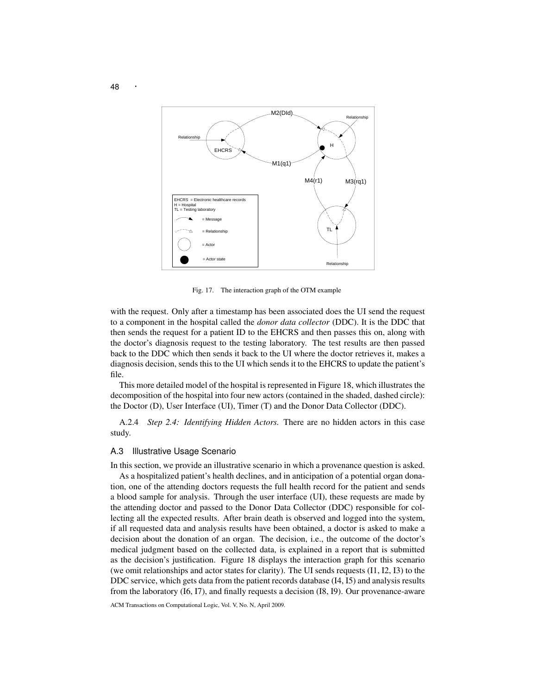

Fig. 17. The interaction graph of the OTM example

with the request. Only after a timestamp has been associated does the UI send the request to a component in the hospital called the *donor data collector* (DDC). It is the DDC that then sends the request for a patient ID to the EHCRS and then passes this on, along with the doctor's diagnosis request to the testing laboratory. The test results are then passed back to the DDC which then sends it back to the UI where the doctor retrieves it, makes a diagnosis decision, sends this to the UI which sends it to the EHCRS to update the patient's file.

This more detailed model of the hospital is represented in Figure 18, which illustrates the decomposition of the hospital into four new actors (contained in the shaded, dashed circle): the Doctor (D), User Interface (UI), Timer (T) and the Donor Data Collector (DDC).

A.2.4 *Step 2.4: Identifying Hidden Actors.* There are no hidden actors in this case study.

# A.3 Illustrative Usage Scenario

In this section, we provide an illustrative scenario in which a provenance question is asked.

As a hospitalized patient's health declines, and in anticipation of a potential organ donation, one of the attending doctors requests the full health record for the patient and sends a blood sample for analysis. Through the user interface (UI), these requests are made by the attending doctor and passed to the Donor Data Collector (DDC) responsible for collecting all the expected results. After brain death is observed and logged into the system, if all requested data and analysis results have been obtained, a doctor is asked to make a decision about the donation of an organ. The decision, i.e., the outcome of the doctor's medical judgment based on the collected data, is explained in a report that is submitted as the decision's justification. Figure 18 displays the interaction graph for this scenario (we omit relationships and actor states for clarity). The UI sends requests (I1, I2, I3) to the DDC service, which gets data from the patient records database (I4, I5) and analysis results from the laboratory (I6, I7), and finally requests a decision (I8, I9). Our provenance-aware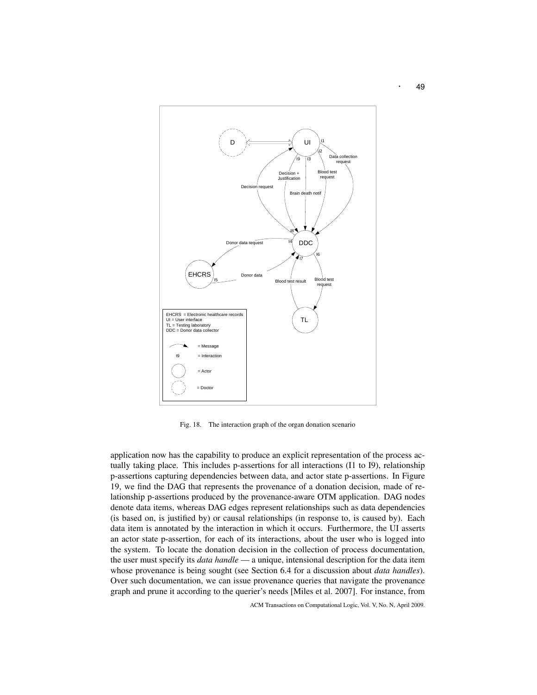

Fig. 18. The interaction graph of the organ donation scenario

application now has the capability to produce an explicit representation of the process actually taking place. This includes p-assertions for all interactions (I1 to I9), relationship p-assertions capturing dependencies between data, and actor state p-assertions. In Figure 19, we find the DAG that represents the provenance of a donation decision, made of relationship p-assertions produced by the provenance-aware OTM application. DAG nodes denote data items, whereas DAG edges represent relationships such as data dependencies (is based on, is justified by) or causal relationships (in response to, is caused by). Each data item is annotated by the interaction in which it occurs. Furthermore, the UI asserts an actor state p-assertion, for each of its interactions, about the user who is logged into the system. To locate the donation decision in the collection of process documentation, the user must specify its *data handle* — a unique, intensional description for the data item whose provenance is being sought (see Section 6.4 for a discussion about *data handles*). Over such documentation, we can issue provenance queries that navigate the provenance graph and prune it according to the querier's needs [Miles et al. 2007]. For instance, from